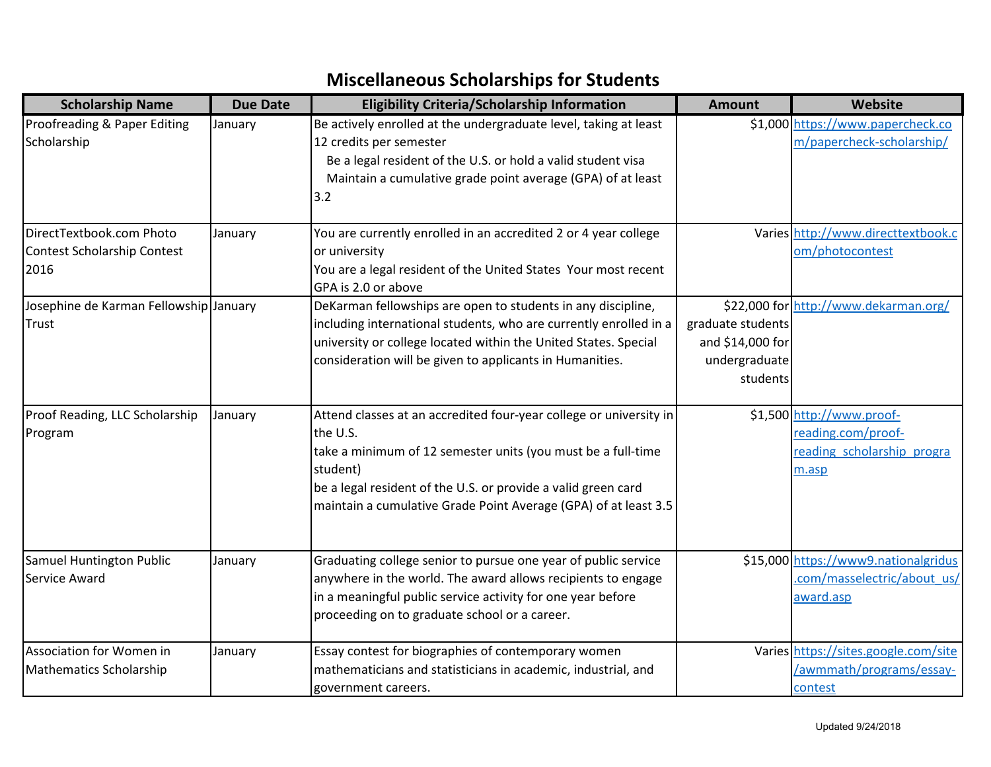| <b>Scholarship Name</b>                                         | <b>Due Date</b> | <b>Eligibility Criteria/Scholarship Information</b>                                                                                                                                                                                                                                            | <b>Amount</b>                                                      | Website                                                                                |
|-----------------------------------------------------------------|-----------------|------------------------------------------------------------------------------------------------------------------------------------------------------------------------------------------------------------------------------------------------------------------------------------------------|--------------------------------------------------------------------|----------------------------------------------------------------------------------------|
| Proofreading & Paper Editing<br>Scholarship                     | January         | Be actively enrolled at the undergraduate level, taking at least<br>12 credits per semester<br>Be a legal resident of the U.S. or hold a valid student visa<br>Maintain a cumulative grade point average (GPA) of at least<br>3.2                                                              |                                                                    | \$1,000 https://www.papercheck.co<br>m/papercheck-scholarship/                         |
| DirectTextbook.com Photo<br>Contest Scholarship Contest<br>2016 | January         | You are currently enrolled in an accredited 2 or 4 year college<br>or university<br>You are a legal resident of the United States Your most recent<br>GPA is 2.0 or above                                                                                                                      |                                                                    | Varies http://www.directtextbook.c<br>om/photocontest                                  |
| Josephine de Karman Fellowship January<br>Trust                 |                 | DeKarman fellowships are open to students in any discipline,<br>including international students, who are currently enrolled in a<br>university or college located within the United States. Special<br>consideration will be given to applicants in Humanities.                               | graduate students<br>and \$14,000 for<br>undergraduate<br>students | \$22,000 for http://www.dekarman.org/                                                  |
| Proof Reading, LLC Scholarship<br>Program                       | January         | Attend classes at an accredited four-year college or university in<br>the U.S.<br>take a minimum of 12 semester units (you must be a full-time<br>student)<br>be a legal resident of the U.S. or provide a valid green card<br>maintain a cumulative Grade Point Average (GPA) of at least 3.5 |                                                                    | \$1,500 http://www.proof-<br>reading.com/proof-<br>reading scholarship progra<br>m.asp |
| Samuel Huntington Public<br>Service Award                       | January         | Graduating college senior to pursue one year of public service<br>anywhere in the world. The award allows recipients to engage<br>in a meaningful public service activity for one year before<br>proceeding on to graduate school or a career.                                                 |                                                                    | \$15,000 https://www9.nationalgridus<br>.com/masselectric/about us/<br>award.asp       |
| Association for Women in<br>Mathematics Scholarship             | January         | Essay contest for biographies of contemporary women<br>mathematicians and statisticians in academic, industrial, and<br>government careers.                                                                                                                                                    |                                                                    | Varies https://sites.google.com/site<br>/awmmath/programs/essay-<br>contest            |

## **Miscellaneous Scholarships for Students**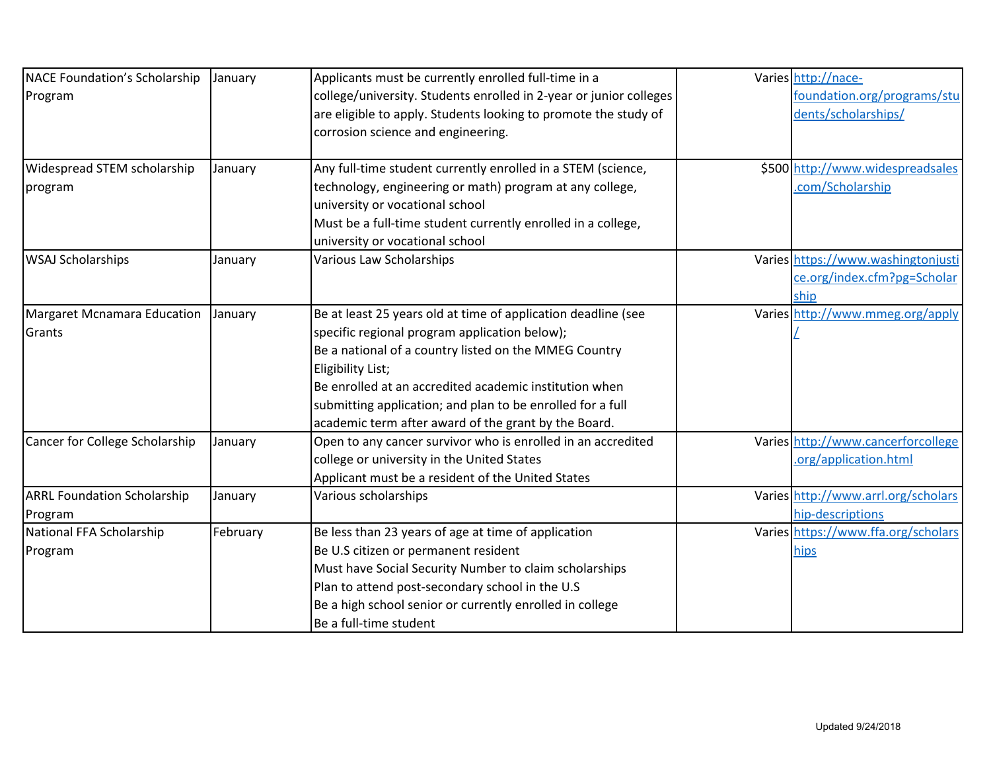| NACE Foundation's Scholarship      | January  | Applicants must be currently enrolled full-time in a               | Varies http://nace-                 |
|------------------------------------|----------|--------------------------------------------------------------------|-------------------------------------|
| Program                            |          | college/university. Students enrolled in 2-year or junior colleges | foundation.org/programs/stu         |
|                                    |          | are eligible to apply. Students looking to promote the study of    | dents/scholarships/                 |
|                                    |          | corrosion science and engineering.                                 |                                     |
|                                    |          |                                                                    |                                     |
| Widespread STEM scholarship        | January  | Any full-time student currently enrolled in a STEM (science,       | \$500 http://www.widespreadsales    |
| program                            |          | technology, engineering or math) program at any college,           | .com/Scholarship                    |
|                                    |          | university or vocational school                                    |                                     |
|                                    |          | Must be a full-time student currently enrolled in a college,       |                                     |
|                                    |          | university or vocational school                                    |                                     |
| <b>WSAJ Scholarships</b>           | January  | <b>Various Law Scholarships</b>                                    | Varies https://www.washingtonjusti  |
|                                    |          |                                                                    | ce.org/index.cfm?pg=Scholar         |
|                                    |          |                                                                    | ship                                |
| Margaret Mcnamara Education        | January  | Be at least 25 years old at time of application deadline (see      | Varies http://www.mmeg.org/apply    |
| Grants                             |          | specific regional program application below);                      |                                     |
|                                    |          | Be a national of a country listed on the MMEG Country              |                                     |
|                                    |          | Eligibility List;                                                  |                                     |
|                                    |          | Be enrolled at an accredited academic institution when             |                                     |
|                                    |          | submitting application; and plan to be enrolled for a full         |                                     |
|                                    |          | academic term after award of the grant by the Board.               |                                     |
| Cancer for College Scholarship     | January  | Open to any cancer survivor who is enrolled in an accredited       | Varies http://www.cancerforcollege  |
|                                    |          | college or university in the United States                         | .org/application.html               |
|                                    |          | Applicant must be a resident of the United States                  |                                     |
| <b>ARRL Foundation Scholarship</b> | January  | Various scholarships                                               | Varies http://www.arrl.org/scholars |
| Program                            |          |                                                                    | hip-descriptions                    |
| National FFA Scholarship           | February | Be less than 23 years of age at time of application                | Varies https://www.ffa.org/scholars |
| Program                            |          | Be U.S citizen or permanent resident                               | hips                                |
|                                    |          | Must have Social Security Number to claim scholarships             |                                     |
|                                    |          | Plan to attend post-secondary school in the U.S                    |                                     |
|                                    |          | Be a high school senior or currently enrolled in college           |                                     |
|                                    |          | Be a full-time student                                             |                                     |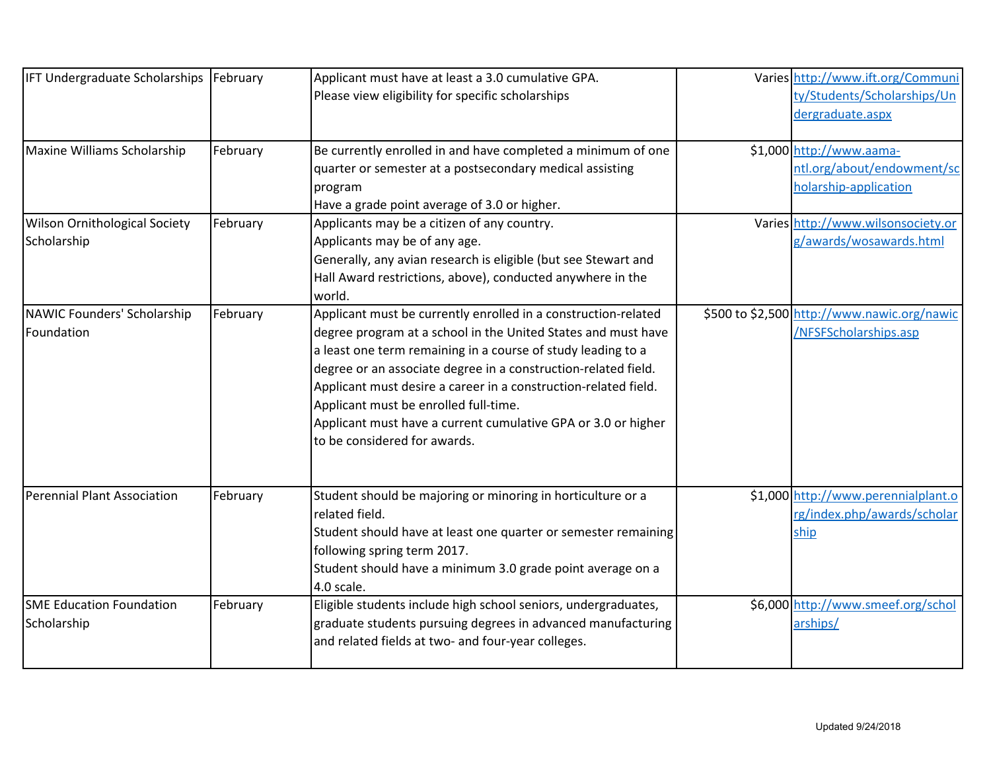| IFT Undergraduate Scholarships   February |          | Applicant must have at least a 3.0 cumulative GPA.                                                                 | Varies http://www.ift.org/Communi           |
|-------------------------------------------|----------|--------------------------------------------------------------------------------------------------------------------|---------------------------------------------|
|                                           |          | Please view eligibility for specific scholarships                                                                  | ty/Students/Scholarships/Un                 |
|                                           |          |                                                                                                                    | dergraduate.aspx                            |
| Maxine Williams Scholarship               | February | Be currently enrolled in and have completed a minimum of one                                                       | \$1,000 http://www.aama-                    |
|                                           |          | quarter or semester at a postsecondary medical assisting                                                           | ntl.org/about/endowment/sc                  |
|                                           |          | program                                                                                                            | holarship-application                       |
|                                           |          | Have a grade point average of 3.0 or higher.                                                                       |                                             |
| <b>Wilson Ornithological Society</b>      | February | Applicants may be a citizen of any country.                                                                        | Varies http://www.wilsonsociety.or          |
| Scholarship                               |          | Applicants may be of any age.                                                                                      | g/awards/wosawards.html                     |
|                                           |          | Generally, any avian research is eligible (but see Stewart and                                                     |                                             |
|                                           |          | Hall Award restrictions, above), conducted anywhere in the                                                         |                                             |
|                                           |          | world.                                                                                                             |                                             |
| NAWIC Founders' Scholarship               | February | Applicant must be currently enrolled in a construction-related                                                     | \$500 to \$2,500 http://www.nawic.org/nawic |
| Foundation                                |          | degree program at a school in the United States and must have                                                      | /NFSFScholarships.asp                       |
|                                           |          | a least one term remaining in a course of study leading to a                                                       |                                             |
|                                           |          | degree or an associate degree in a construction-related field.                                                     |                                             |
|                                           |          | Applicant must desire a career in a construction-related field.                                                    |                                             |
|                                           |          | Applicant must be enrolled full-time.                                                                              |                                             |
|                                           |          | Applicant must have a current cumulative GPA or 3.0 or higher                                                      |                                             |
|                                           |          | to be considered for awards.                                                                                       |                                             |
|                                           |          |                                                                                                                    |                                             |
| Perennial Plant Association               | February | Student should be majoring or minoring in horticulture or a                                                        | \$1,000 http://www.perennialplant.o         |
|                                           |          | related field.                                                                                                     | rg/index.php/awards/scholar                 |
|                                           |          | Student should have at least one quarter or semester remaining                                                     | ship                                        |
|                                           |          | following spring term 2017.                                                                                        |                                             |
|                                           |          | Student should have a minimum 3.0 grade point average on a<br>4.0 scale.                                           |                                             |
| <b>SME Education Foundation</b>           | February | Eligible students include high school seniors, undergraduates,                                                     | \$6,000 http://www.smeef.org/schol          |
|                                           |          |                                                                                                                    |                                             |
| Scholarship                               |          | graduate students pursuing degrees in advanced manufacturing<br>and related fields at two- and four-year colleges. | arships/                                    |
|                                           |          |                                                                                                                    |                                             |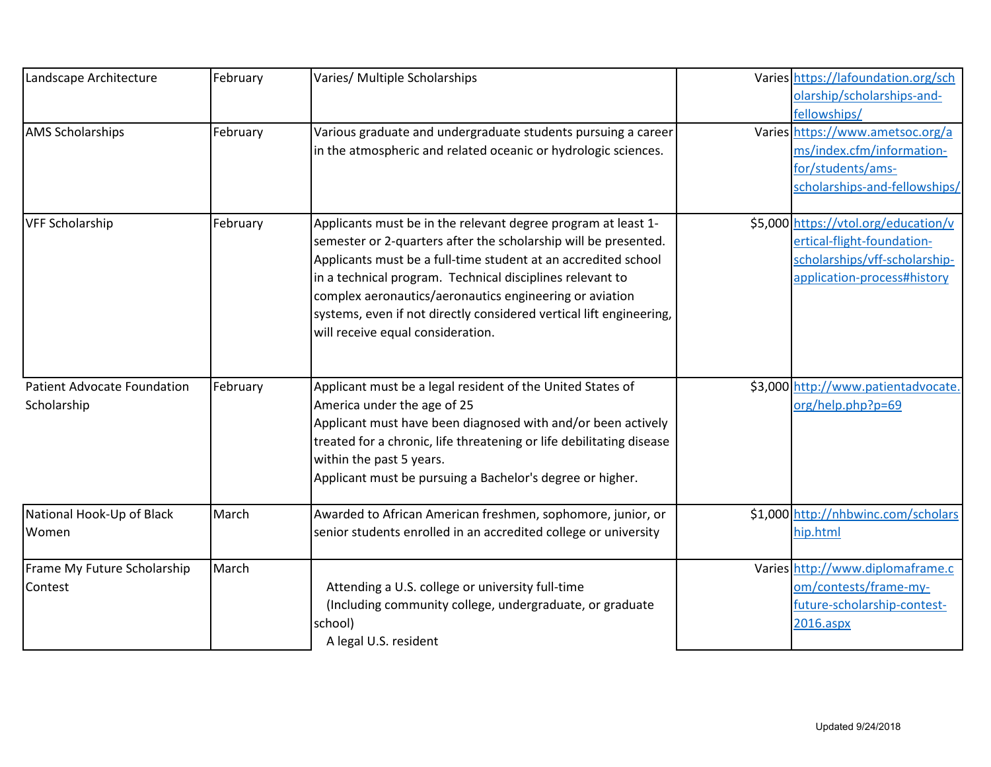| Landscape Architecture             | February | Varies/ Multiple Scholarships                                        | Varies https://lafoundation.org/sch  |
|------------------------------------|----------|----------------------------------------------------------------------|--------------------------------------|
|                                    |          |                                                                      | olarship/scholarships-and-           |
|                                    |          |                                                                      | fellowships/                         |
| <b>AMS Scholarships</b>            | February | Various graduate and undergraduate students pursuing a career        | Varies https://www.ametsoc.org/a     |
|                                    |          | in the atmospheric and related oceanic or hydrologic sciences.       | ms/index.cfm/information-            |
|                                    |          |                                                                      | for/students/ams-                    |
|                                    |          |                                                                      | scholarships-and-fellowships/        |
| <b>VFF Scholarship</b>             | February | Applicants must be in the relevant degree program at least 1-        | \$5,000 https://vtol.org/education/v |
|                                    |          | semester or 2-quarters after the scholarship will be presented.      | ertical-flight-foundation-           |
|                                    |          | Applicants must be a full-time student at an accredited school       | scholarships/vff-scholarship-        |
|                                    |          | in a technical program. Technical disciplines relevant to            | application-process#history          |
|                                    |          | complex aeronautics/aeronautics engineering or aviation              |                                      |
|                                    |          | systems, even if not directly considered vertical lift engineering,  |                                      |
|                                    |          | will receive equal consideration.                                    |                                      |
|                                    |          |                                                                      |                                      |
| <b>Patient Advocate Foundation</b> | February | Applicant must be a legal resident of the United States of           | \$3,000 http://www.patientadvocate.  |
| Scholarship                        |          | America under the age of 25                                          | org/help.php?p=69                    |
|                                    |          | Applicant must have been diagnosed with and/or been actively         |                                      |
|                                    |          | treated for a chronic, life threatening or life debilitating disease |                                      |
|                                    |          | within the past 5 years.                                             |                                      |
|                                    |          | Applicant must be pursuing a Bachelor's degree or higher.            |                                      |
| National Hook-Up of Black          | March    | Awarded to African American freshmen, sophomore, junior, or          | \$1,000 http://nhbwinc.com/scholars  |
| Women                              |          | senior students enrolled in an accredited college or university      | hip.html                             |
| Frame My Future Scholarship        | March    |                                                                      | Varies http://www.diplomaframe.c     |
| Contest                            |          | Attending a U.S. college or university full-time                     | om/contests/frame-my-                |
|                                    |          | (Including community college, undergraduate, or graduate             | future-scholarship-contest-          |
|                                    |          | school)                                                              | 2016.aspx                            |
|                                    |          | A legal U.S. resident                                                |                                      |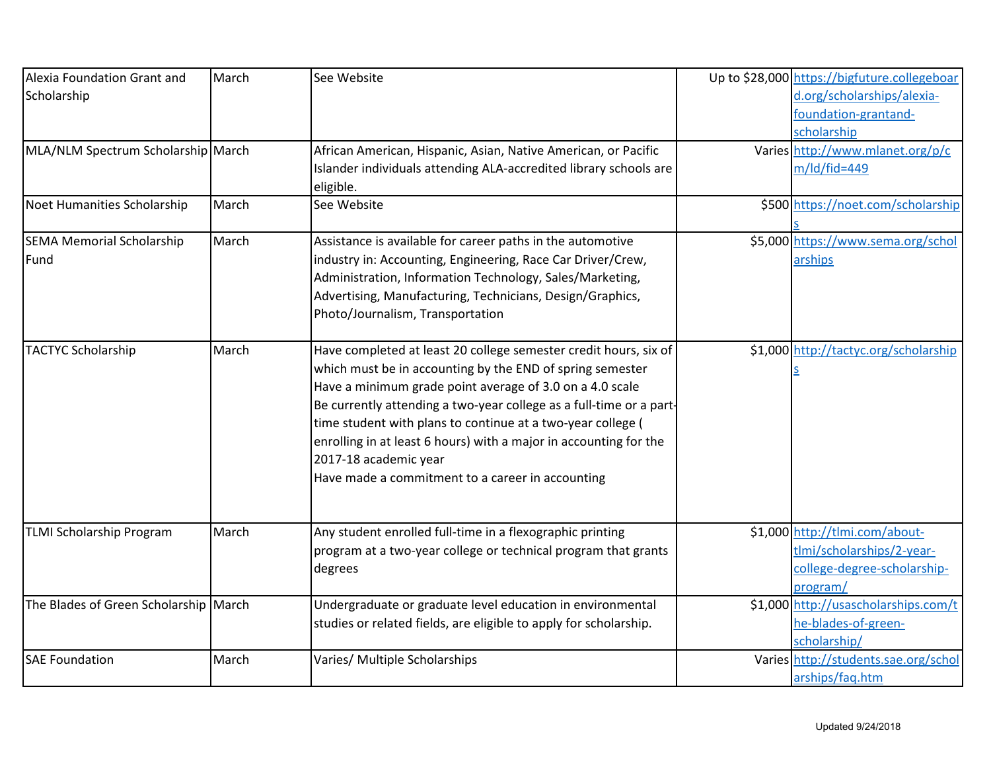| Alexia Foundation Grant and           | March | See Website                                                         | Up to \$28,000 https://bigfuture.collegeboar |
|---------------------------------------|-------|---------------------------------------------------------------------|----------------------------------------------|
| Scholarship                           |       |                                                                     | d.org/scholarships/alexia-                   |
|                                       |       |                                                                     | foundation-grantand-                         |
|                                       |       |                                                                     | scholarship                                  |
| MLA/NLM Spectrum Scholarship March    |       | African American, Hispanic, Asian, Native American, or Pacific      | Varies http://www.mlanet.org/p/c             |
|                                       |       | Islander individuals attending ALA-accredited library schools are   | $m/Id/fid=449$                               |
|                                       |       | eligible.                                                           |                                              |
| Noet Humanities Scholarship           | March | See Website                                                         | \$500 https://noet.com/scholarship           |
|                                       |       |                                                                     |                                              |
| <b>SEMA Memorial Scholarship</b>      | March | Assistance is available for career paths in the automotive          | \$5,000 https://www.sema.org/schol           |
| Fund                                  |       | industry in: Accounting, Engineering, Race Car Driver/Crew,         | arships                                      |
|                                       |       | Administration, Information Technology, Sales/Marketing,            |                                              |
|                                       |       | Advertising, Manufacturing, Technicians, Design/Graphics,           |                                              |
|                                       |       | Photo/Journalism, Transportation                                    |                                              |
|                                       |       |                                                                     |                                              |
| <b>TACTYC Scholarship</b>             | March | Have completed at least 20 college semester credit hours, six of    | \$1,000 http://tactyc.org/scholarship        |
|                                       |       | which must be in accounting by the END of spring semester           |                                              |
|                                       |       | Have a minimum grade point average of 3.0 on a 4.0 scale            |                                              |
|                                       |       | Be currently attending a two-year college as a full-time or a part- |                                              |
|                                       |       | time student with plans to continue at a two-year college (         |                                              |
|                                       |       | enrolling in at least 6 hours) with a major in accounting for the   |                                              |
|                                       |       | 2017-18 academic year                                               |                                              |
|                                       |       | Have made a commitment to a career in accounting                    |                                              |
|                                       |       |                                                                     |                                              |
| <b>TLMI Scholarship Program</b>       | March | Any student enrolled full-time in a flexographic printing           | \$1,000 http://tlmi.com/about-               |
|                                       |       | program at a two-year college or technical program that grants      | tlmi/scholarships/2-year-                    |
|                                       |       | degrees                                                             | college-degree-scholarship-                  |
|                                       |       |                                                                     | program/                                     |
| The Blades of Green Scholarship March |       | Undergraduate or graduate level education in environmental          | \$1,000 http://usascholarships.com/t         |
|                                       |       | studies or related fields, are eligible to apply for scholarship.   | he-blades-of-green-                          |
|                                       |       |                                                                     | scholarship/                                 |
| <b>SAE Foundation</b>                 | March | Varies/ Multiple Scholarships                                       | Varies http://students.sae.org/schol         |
|                                       |       |                                                                     | arships/faq.htm                              |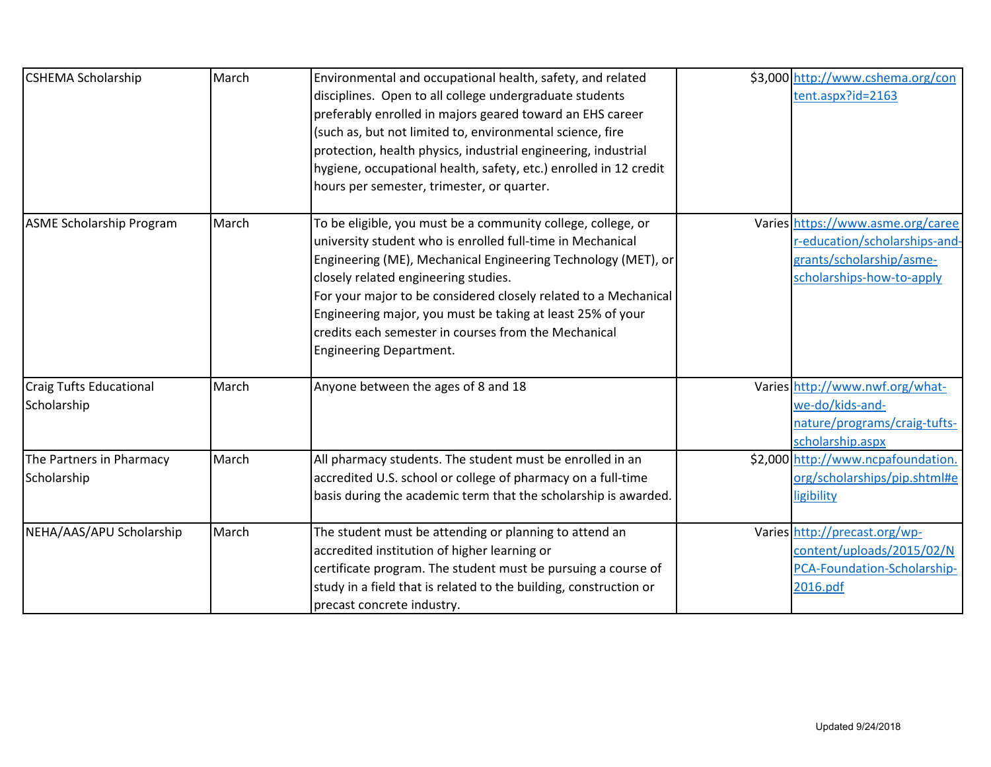| <b>CSHEMA Scholarship</b>                     | March | Environmental and occupational health, safety, and related<br>disciplines. Open to all college undergraduate students<br>preferably enrolled in majors geared toward an EHS career<br>(such as, but not limited to, environmental science, fire<br>protection, health physics, industrial engineering, industrial<br>hygiene, occupational health, safety, etc.) enrolled in 12 credit<br>hours per semester, trimester, or quarter.                           | \$3,000 http://www.cshema.org/con<br>tent.aspx?id=2163                                                                      |
|-----------------------------------------------|-------|----------------------------------------------------------------------------------------------------------------------------------------------------------------------------------------------------------------------------------------------------------------------------------------------------------------------------------------------------------------------------------------------------------------------------------------------------------------|-----------------------------------------------------------------------------------------------------------------------------|
| <b>ASME Scholarship Program</b>               | March | To be eligible, you must be a community college, college, or<br>university student who is enrolled full-time in Mechanical<br>Engineering (ME), Mechanical Engineering Technology (MET), or<br>closely related engineering studies.<br>For your major to be considered closely related to a Mechanical<br>Engineering major, you must be taking at least 25% of your<br>credits each semester in courses from the Mechanical<br><b>Engineering Department.</b> | Varies https://www.asme.org/caree<br>r-education/scholarships-and-<br>grants/scholarship/asme-<br>scholarships-how-to-apply |
| <b>Craig Tufts Educational</b><br>Scholarship | March | Anyone between the ages of 8 and 18                                                                                                                                                                                                                                                                                                                                                                                                                            | Varies http://www.nwf.org/what-<br>we-do/kids-and-<br>nature/programs/craig-tufts-<br>scholarship.aspx                      |
| The Partners in Pharmacy<br>Scholarship       | March | All pharmacy students. The student must be enrolled in an<br>accredited U.S. school or college of pharmacy on a full-time<br>basis during the academic term that the scholarship is awarded.                                                                                                                                                                                                                                                                   | \$2,000 http://www.ncpafoundation.<br>org/scholarships/pip.shtml#e<br>ligibility                                            |
| NEHA/AAS/APU Scholarship                      | March | The student must be attending or planning to attend an<br>accredited institution of higher learning or<br>certificate program. The student must be pursuing a course of<br>study in a field that is related to the building, construction or<br>precast concrete industry.                                                                                                                                                                                     | Varies http://precast.org/wp-<br>content/uploads/2015/02/N<br>PCA-Foundation-Scholarship-<br>2016.pdf                       |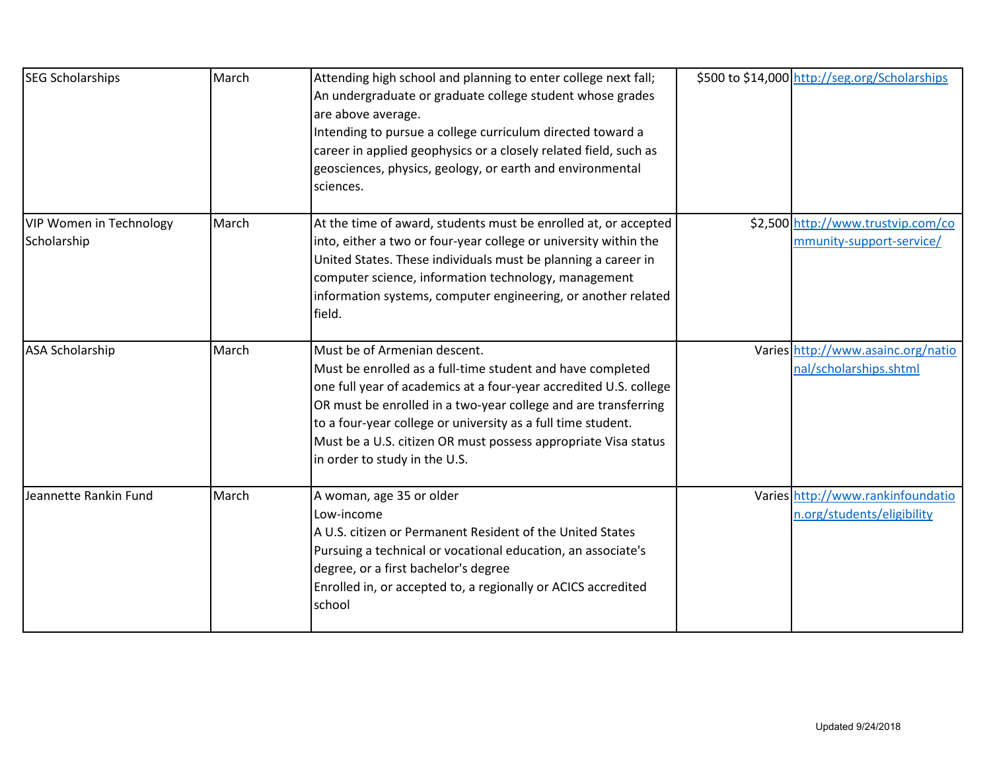| <b>SEG Scholarships</b>                       | March | Attending high school and planning to enter college next fall;<br>An undergraduate or graduate college student whose grades<br>are above average.<br>Intending to pursue a college curriculum directed toward a<br>career in applied geophysics or a closely related field, such as<br>geosciences, physics, geology, or earth and environmental<br>sciences.                                        | \$500 to \$14,000 http://seg.org/Scholarships                   |
|-----------------------------------------------|-------|------------------------------------------------------------------------------------------------------------------------------------------------------------------------------------------------------------------------------------------------------------------------------------------------------------------------------------------------------------------------------------------------------|-----------------------------------------------------------------|
| <b>VIP Women in Technology</b><br>Scholarship | March | At the time of award, students must be enrolled at, or accepted<br>into, either a two or four-year college or university within the<br>United States. These individuals must be planning a career in<br>computer science, information technology, management<br>information systems, computer engineering, or another related<br>field.                                                              | \$2,500 http://www.trustvip.com/co<br>mmunity-support-service/  |
| <b>ASA Scholarship</b>                        | March | Must be of Armenian descent.<br>Must be enrolled as a full-time student and have completed<br>one full year of academics at a four-year accredited U.S. college<br>OR must be enrolled in a two-year college and are transferring<br>to a four-year college or university as a full time student.<br>Must be a U.S. citizen OR must possess appropriate Visa status<br>in order to study in the U.S. | Varies http://www.asainc.org/natio<br>nal/scholarships.shtml    |
| Jeannette Rankin Fund                         | March | A woman, age 35 or older<br>Low-income<br>A U.S. citizen or Permanent Resident of the United States<br>Pursuing a technical or vocational education, an associate's<br>degree, or a first bachelor's degree<br>Enrolled in, or accepted to, a regionally or ACICS accredited<br>school                                                                                                               | Varies http://www.rankinfoundatio<br>n.org/students/eligibility |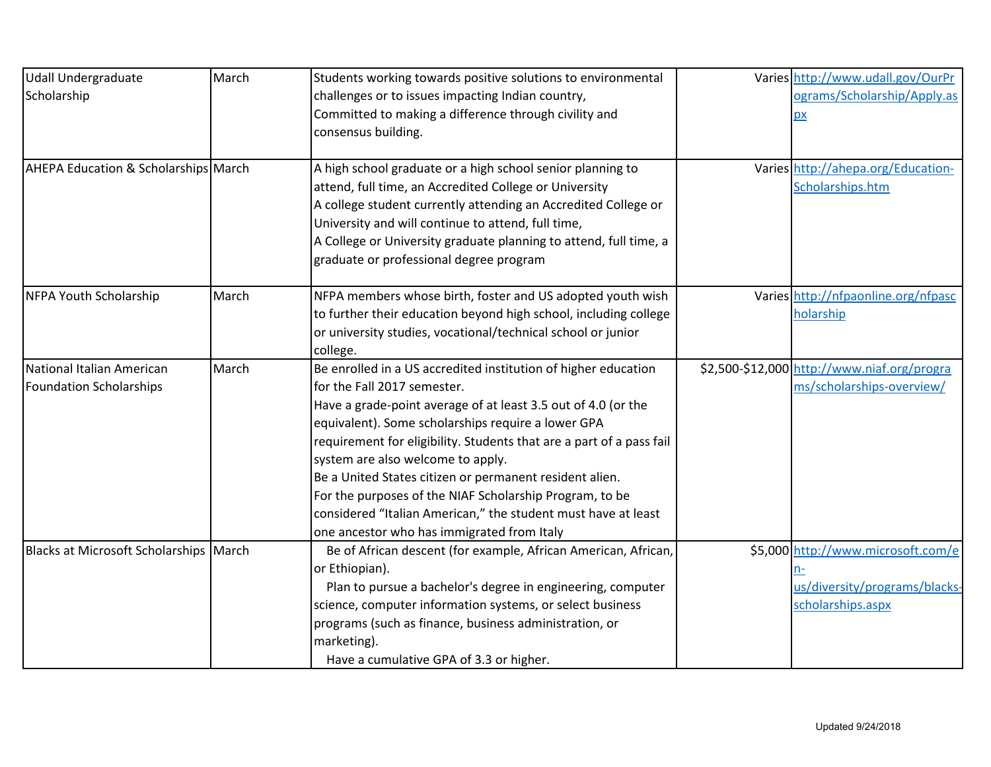| <b>Udall Undergraduate</b>             | March | Students working towards positive solutions to environmental         | Varies http://www.udall.gov/OurPr           |
|----------------------------------------|-------|----------------------------------------------------------------------|---------------------------------------------|
| Scholarship                            |       | challenges or to issues impacting Indian country,                    | ograms/Scholarship/Apply.as                 |
|                                        |       | Committed to making a difference through civility and                | p x                                         |
|                                        |       | consensus building.                                                  |                                             |
|                                        |       |                                                                      |                                             |
| AHEPA Education & Scholarships March   |       | A high school graduate or a high school senior planning to           | Varies http://ahepa.org/Education-          |
|                                        |       | attend, full time, an Accredited College or University               | Scholarships.htm                            |
|                                        |       | A college student currently attending an Accredited College or       |                                             |
|                                        |       | University and will continue to attend, full time,                   |                                             |
|                                        |       | A College or University graduate planning to attend, full time, a    |                                             |
|                                        |       | graduate or professional degree program                              |                                             |
| NFPA Youth Scholarship                 | March | NFPA members whose birth, foster and US adopted youth wish           | Varies http://nfpaonline.org/nfpasc         |
|                                        |       | to further their education beyond high school, including college     | holarship                                   |
|                                        |       | or university studies, vocational/technical school or junior         |                                             |
|                                        |       | college.                                                             |                                             |
| National Italian American              | March | Be enrolled in a US accredited institution of higher education       | \$2,500-\$12,000 http://www.niaf.org/progra |
| <b>Foundation Scholarships</b>         |       | for the Fall 2017 semester.                                          | ms/scholarships-overview/                   |
|                                        |       | Have a grade-point average of at least 3.5 out of 4.0 (or the        |                                             |
|                                        |       | equivalent). Some scholarships require a lower GPA                   |                                             |
|                                        |       | requirement for eligibility. Students that are a part of a pass fail |                                             |
|                                        |       | system are also welcome to apply.                                    |                                             |
|                                        |       | Be a United States citizen or permanent resident alien.              |                                             |
|                                        |       | For the purposes of the NIAF Scholarship Program, to be              |                                             |
|                                        |       | considered "Italian American," the student must have at least        |                                             |
|                                        |       | one ancestor who has immigrated from Italy                           |                                             |
| Blacks at Microsoft Scholarships March |       | Be of African descent (for example, African American, African,       | \$5,000 http://www.microsoft.com/e          |
|                                        |       | or Ethiopian).                                                       |                                             |
|                                        |       | Plan to pursue a bachelor's degree in engineering, computer          | us/diversity/programs/blacks-               |
|                                        |       | science, computer information systems, or select business            | scholarships.aspx                           |
|                                        |       | programs (such as finance, business administration, or               |                                             |
|                                        |       | marketing).                                                          |                                             |
|                                        |       | Have a cumulative GPA of 3.3 or higher.                              |                                             |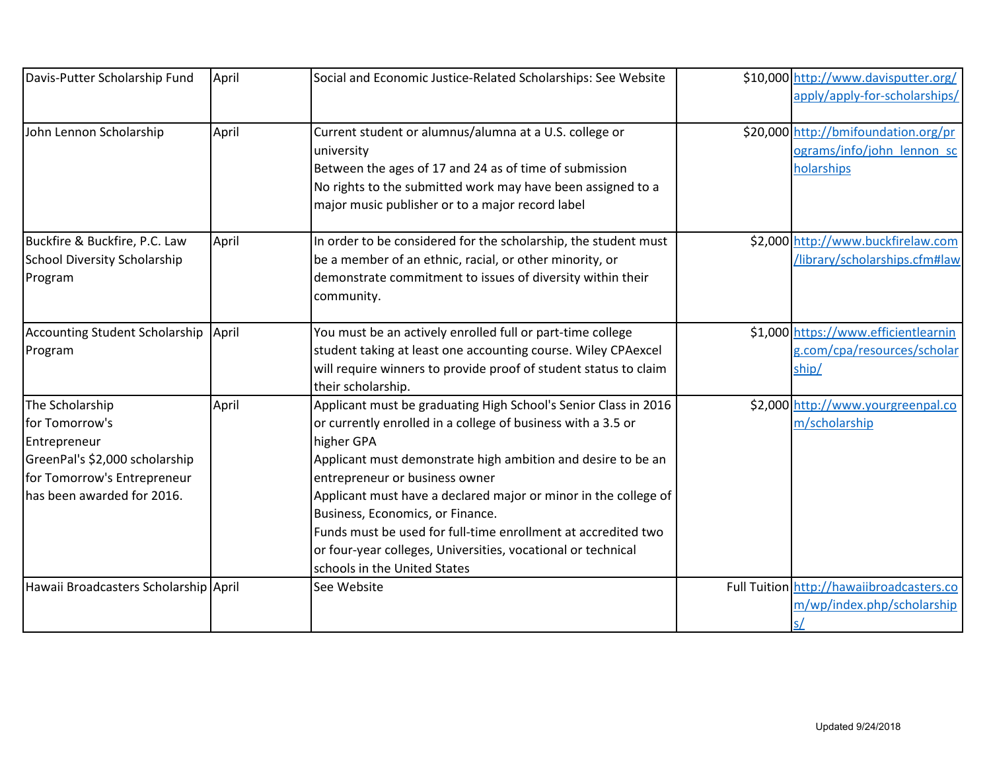| Davis-Putter Scholarship Fund                                                                                                                    | April | Social and Economic Justice-Related Scholarships: See Website                                                                                                                                                                                                                                                                                                                                                                                                                                                           | \$10,000 http://www.davisputter.org/<br>apply/apply-for-scholarships/            |
|--------------------------------------------------------------------------------------------------------------------------------------------------|-------|-------------------------------------------------------------------------------------------------------------------------------------------------------------------------------------------------------------------------------------------------------------------------------------------------------------------------------------------------------------------------------------------------------------------------------------------------------------------------------------------------------------------------|----------------------------------------------------------------------------------|
| John Lennon Scholarship                                                                                                                          | April | Current student or alumnus/alumna at a U.S. college or<br>university<br>Between the ages of 17 and 24 as of time of submission<br>No rights to the submitted work may have been assigned to a<br>major music publisher or to a major record label                                                                                                                                                                                                                                                                       | \$20,000 http://bmifoundation.org/pr<br>ograms/info/john_lennon_sc<br>holarships |
| Buckfire & Buckfire, P.C. Law<br>School Diversity Scholarship<br>Program                                                                         | April | In order to be considered for the scholarship, the student must<br>be a member of an ethnic, racial, or other minority, or<br>demonstrate commitment to issues of diversity within their<br>community.                                                                                                                                                                                                                                                                                                                  | \$2,000 http://www.buckfirelaw.com<br>/library/scholarships.cfm#law              |
| Accounting Student Scholarship April<br>Program                                                                                                  |       | You must be an actively enrolled full or part-time college<br>student taking at least one accounting course. Wiley CPAexcel<br>will require winners to provide proof of student status to claim<br>their scholarship.                                                                                                                                                                                                                                                                                                   | \$1,000 https://www.efficientlearnin<br>g.com/cpa/resources/scholar<br>ship/     |
| The Scholarship<br>for Tomorrow's<br>Entrepreneur<br>GreenPal's \$2,000 scholarship<br>for Tomorrow's Entrepreneur<br>has been awarded for 2016. | April | Applicant must be graduating High School's Senior Class in 2016<br>or currently enrolled in a college of business with a 3.5 or<br>higher GPA<br>Applicant must demonstrate high ambition and desire to be an<br>entrepreneur or business owner<br>Applicant must have a declared major or minor in the college of<br>Business, Economics, or Finance.<br>Funds must be used for full-time enrollment at accredited two<br>or four-year colleges, Universities, vocational or technical<br>schools in the United States | \$2,000 http://www.yourgreenpal.co<br>m/scholarship                              |
| Hawaii Broadcasters Scholarship April                                                                                                            |       | See Website                                                                                                                                                                                                                                                                                                                                                                                                                                                                                                             | Full Tuition http://hawaiibroadcasters.co<br>m/wp/index.php/scholarship<br>s/    |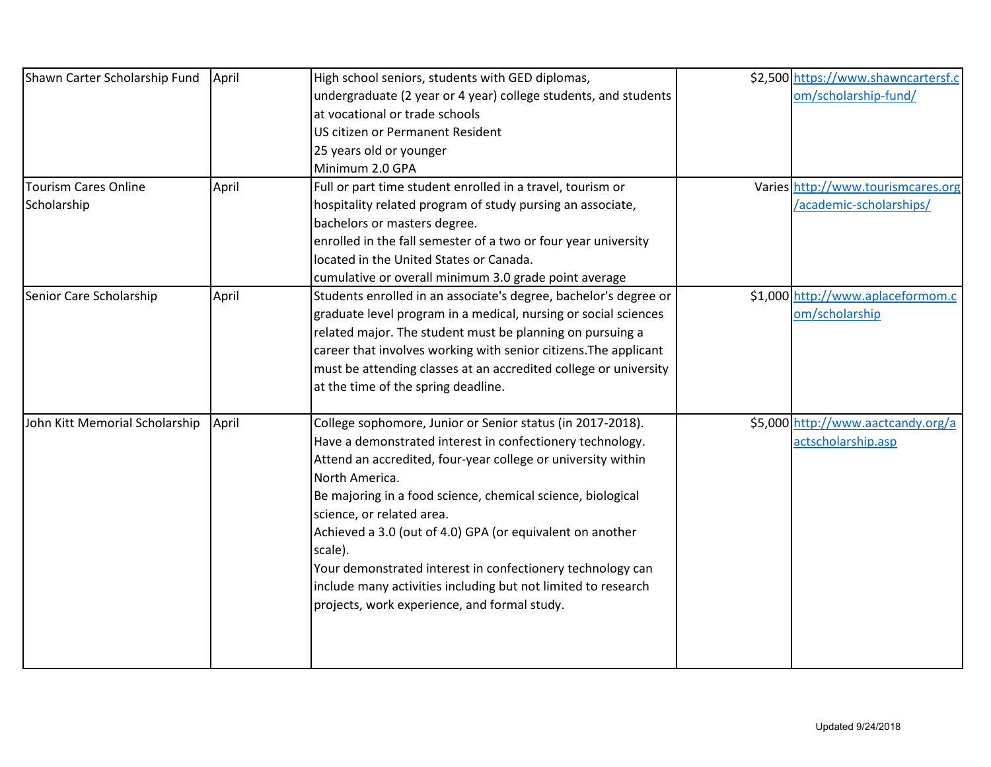| Shawn Carter Scholarship Fund  | April | High school seniors, students with GED diplomas,                 | \$2,500 https://www.shawncartersf.c |
|--------------------------------|-------|------------------------------------------------------------------|-------------------------------------|
|                                |       | undergraduate (2 year or 4 year) college students, and students  | om/scholarship-fund/                |
|                                |       | at vocational or trade schools                                   |                                     |
|                                |       | US citizen or Permanent Resident                                 |                                     |
|                                |       | 25 years old or younger                                          |                                     |
|                                |       | Minimum 2.0 GPA                                                  |                                     |
| <b>Tourism Cares Online</b>    | April | Full or part time student enrolled in a travel, tourism or       | Varies http://www.tourismcares.org  |
| Scholarship                    |       | hospitality related program of study pursing an associate,       | /academic-scholarships/             |
|                                |       | bachelors or masters degree.                                     |                                     |
|                                |       | enrolled in the fall semester of a two or four year university   |                                     |
|                                |       | located in the United States or Canada.                          |                                     |
|                                |       | cumulative or overall minimum 3.0 grade point average            |                                     |
| Senior Care Scholarship        | April | Students enrolled in an associate's degree, bachelor's degree or | \$1,000 http://www.aplaceformom.c   |
|                                |       | graduate level program in a medical, nursing or social sciences  | om/scholarship                      |
|                                |       | related major. The student must be planning on pursuing a        |                                     |
|                                |       | career that involves working with senior citizens. The applicant |                                     |
|                                |       | must be attending classes at an accredited college or university |                                     |
|                                |       | at the time of the spring deadline.                              |                                     |
| John Kitt Memorial Scholarship | April | College sophomore, Junior or Senior status (in 2017-2018).       | \$5,000 http://www.aactcandy.org/a  |
|                                |       | Have a demonstrated interest in confectionery technology.        | actscholarship.asp                  |
|                                |       | Attend an accredited, four-year college or university within     |                                     |
|                                |       | North America.                                                   |                                     |
|                                |       | Be majoring in a food science, chemical science, biological      |                                     |
|                                |       | science, or related area.                                        |                                     |
|                                |       | Achieved a 3.0 (out of 4.0) GPA (or equivalent on another        |                                     |
|                                |       | scale).                                                          |                                     |
|                                |       | Your demonstrated interest in confectionery technology can       |                                     |
|                                |       | include many activities including but not limited to research    |                                     |
|                                |       | projects, work experience, and formal study.                     |                                     |
|                                |       |                                                                  |                                     |
|                                |       |                                                                  |                                     |
|                                |       |                                                                  |                                     |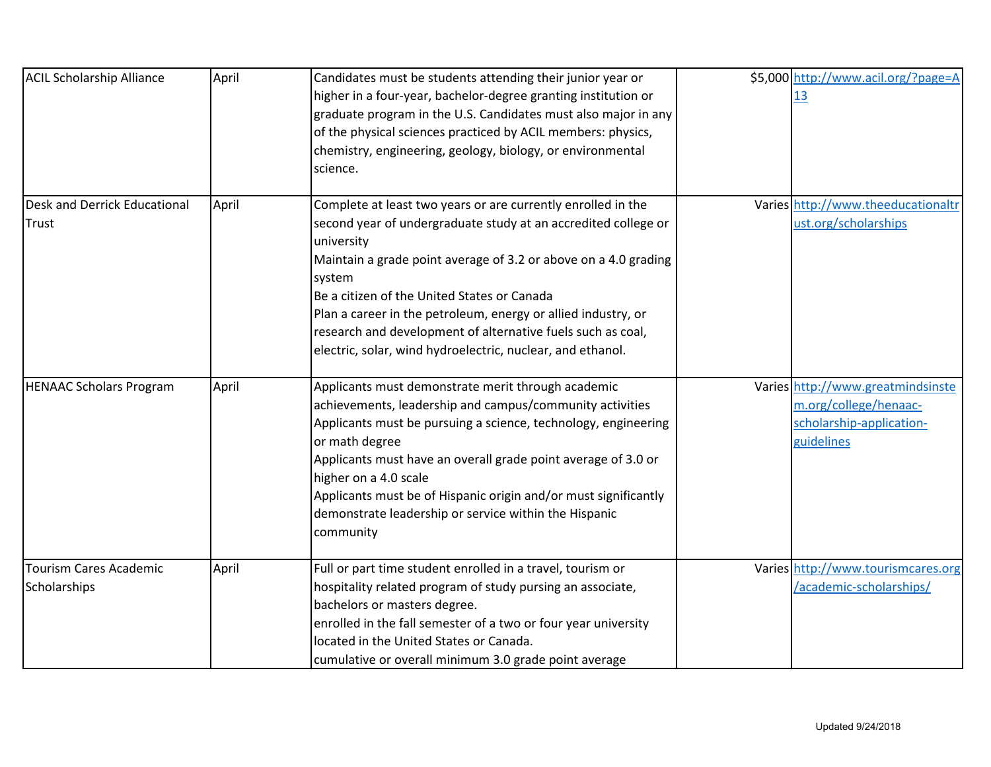| <b>ACIL Scholarship Alliance</b>              | April | Candidates must be students attending their junior year or<br>higher in a four-year, bachelor-degree granting institution or<br>graduate program in the U.S. Candidates must also major in any<br>of the physical sciences practiced by ACIL members: physics,<br>chemistry, engineering, geology, biology, or environmental<br>science.                                                                                                                               | \$5,000 http://www.acil.org/?page=A<br>13                                                            |
|-----------------------------------------------|-------|------------------------------------------------------------------------------------------------------------------------------------------------------------------------------------------------------------------------------------------------------------------------------------------------------------------------------------------------------------------------------------------------------------------------------------------------------------------------|------------------------------------------------------------------------------------------------------|
| Desk and Derrick Educational<br>Trust         | April | Complete at least two years or are currently enrolled in the<br>second year of undergraduate study at an accredited college or<br>university<br>Maintain a grade point average of 3.2 or above on a 4.0 grading<br>system<br>Be a citizen of the United States or Canada<br>Plan a career in the petroleum, energy or allied industry, or<br>research and development of alternative fuels such as coal,<br>electric, solar, wind hydroelectric, nuclear, and ethanol. | Varies http://www.theeducationaltr<br>ust.org/scholarships                                           |
| <b>HENAAC Scholars Program</b>                | April | Applicants must demonstrate merit through academic<br>achievements, leadership and campus/community activities<br>Applicants must be pursuing a science, technology, engineering<br>or math degree<br>Applicants must have an overall grade point average of 3.0 or<br>higher on a 4.0 scale<br>Applicants must be of Hispanic origin and/or must significantly<br>demonstrate leadership or service within the Hispanic<br>community                                  | Varies http://www.greatmindsinste<br>m.org/college/henaac-<br>scholarship-application-<br>guidelines |
| <b>Tourism Cares Academic</b><br>Scholarships | April | Full or part time student enrolled in a travel, tourism or<br>hospitality related program of study pursing an associate,<br>bachelors or masters degree.<br>enrolled in the fall semester of a two or four year university<br>located in the United States or Canada.<br>cumulative or overall minimum 3.0 grade point average                                                                                                                                         | Varies http://www.tourismcares.org<br>/academic-scholarships/                                        |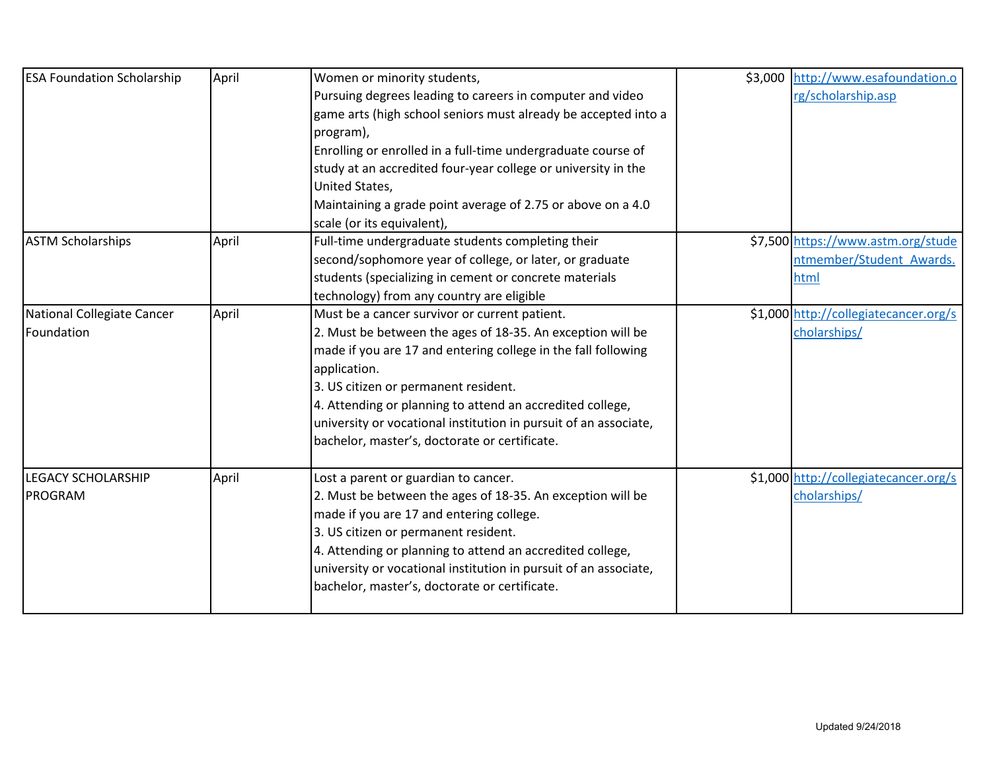| <b>ESA Foundation Scholarship</b>           | April | Women or minority students,<br>Pursuing degrees leading to careers in computer and video<br>game arts (high school seniors must already be accepted into a<br>program),<br>Enrolling or enrolled in a full-time undergraduate course of<br>study at an accredited four-year college or university in the<br>United States,<br>Maintaining a grade point average of 2.75 or above on a 4.0                              | \$3,000 http://www.esafoundation.o<br>rg/scholarship.asp               |
|---------------------------------------------|-------|------------------------------------------------------------------------------------------------------------------------------------------------------------------------------------------------------------------------------------------------------------------------------------------------------------------------------------------------------------------------------------------------------------------------|------------------------------------------------------------------------|
| <b>ASTM Scholarships</b>                    | April | scale (or its equivalent),<br>Full-time undergraduate students completing their<br>second/sophomore year of college, or later, or graduate<br>students (specializing in cement or concrete materials<br>technology) from any country are eligible                                                                                                                                                                      | \$7,500 https://www.astm.org/stude<br>ntmember/Student Awards.<br>html |
| National Collegiate Cancer<br>Foundation    | April | Must be a cancer survivor or current patient.<br>2. Must be between the ages of 18-35. An exception will be<br>made if you are 17 and entering college in the fall following<br>application.<br>3. US citizen or permanent resident.<br>4. Attending or planning to attend an accredited college,<br>university or vocational institution in pursuit of an associate,<br>bachelor, master's, doctorate or certificate. | \$1,000 http://collegiatecancer.org/s<br>cholarships/                  |
| <b>LEGACY SCHOLARSHIP</b><br><b>PROGRAM</b> | April | Lost a parent or guardian to cancer.<br>2. Must be between the ages of 18-35. An exception will be<br>made if you are 17 and entering college.<br>3. US citizen or permanent resident.<br>4. Attending or planning to attend an accredited college,<br>university or vocational institution in pursuit of an associate,<br>bachelor, master's, doctorate or certificate.                                               | \$1,000 http://collegiatecancer.org/s<br>cholarships/                  |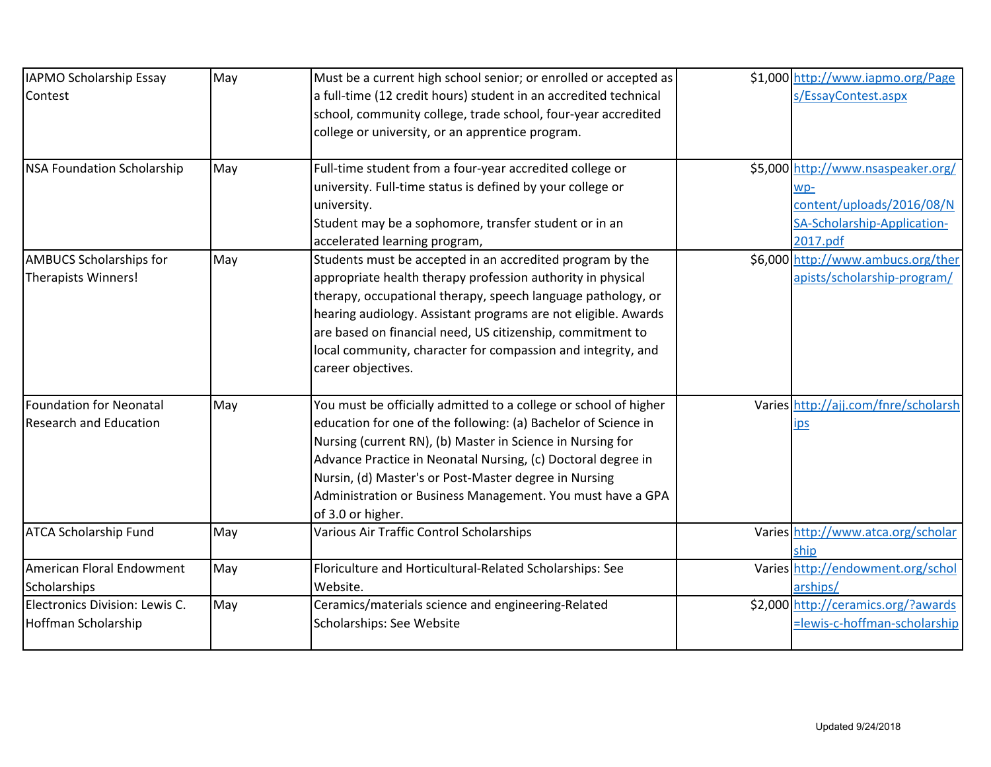| IAPMO Scholarship Essay           | May | Must be a current high school senior; or enrolled or accepted as | \$1,000 http://www.iapmo.org/Page    |
|-----------------------------------|-----|------------------------------------------------------------------|--------------------------------------|
| Contest                           |     | a full-time (12 credit hours) student in an accredited technical | s/EssayContest.aspx                  |
|                                   |     | school, community college, trade school, four-year accredited    |                                      |
|                                   |     | college or university, or an apprentice program.                 |                                      |
|                                   |     |                                                                  |                                      |
| <b>NSA Foundation Scholarship</b> | May | Full-time student from a four-year accredited college or         | \$5,000 http://www.nsaspeaker.org/   |
|                                   |     | university. Full-time status is defined by your college or       | WD-                                  |
|                                   |     | university.                                                      | content/uploads/2016/08/N            |
|                                   |     | Student may be a sophomore, transfer student or in an            | SA-Scholarship-Application-          |
|                                   |     | accelerated learning program,                                    | 2017.pdf                             |
| <b>AMBUCS Scholarships for</b>    | May | Students must be accepted in an accredited program by the        | \$6,000 http://www.ambucs.org/ther   |
| <b>Therapists Winners!</b>        |     | appropriate health therapy profession authority in physical      | apists/scholarship-program/          |
|                                   |     | therapy, occupational therapy, speech language pathology, or     |                                      |
|                                   |     | hearing audiology. Assistant programs are not eligible. Awards   |                                      |
|                                   |     | are based on financial need, US citizenship, commitment to       |                                      |
|                                   |     | local community, character for compassion and integrity, and     |                                      |
|                                   |     | career objectives.                                               |                                      |
| <b>Foundation for Neonatal</b>    | May | You must be officially admitted to a college or school of higher | Varies http://ajj.com/fnre/scholarsh |
| <b>Research and Education</b>     |     | education for one of the following: (a) Bachelor of Science in   | <u>ips</u>                           |
|                                   |     | Nursing (current RN), (b) Master in Science in Nursing for       |                                      |
|                                   |     | Advance Practice in Neonatal Nursing, (c) Doctoral degree in     |                                      |
|                                   |     | Nursin, (d) Master's or Post-Master degree in Nursing            |                                      |
|                                   |     | Administration or Business Management. You must have a GPA       |                                      |
|                                   |     | of 3.0 or higher.                                                |                                      |
| <b>ATCA Scholarship Fund</b>      | May | Various Air Traffic Control Scholarships                         | Varies http://www.atca.org/scholar   |
|                                   |     |                                                                  | ship                                 |
| American Floral Endowment         | May | Floriculture and Horticultural-Related Scholarships: See         | Varies http://endowment.org/schol    |
| Scholarships                      |     | Website.                                                         | arships/                             |
| Electronics Division: Lewis C.    | May | Ceramics/materials science and engineering-Related               | \$2,000 http://ceramics.org/?awards  |
| Hoffman Scholarship               |     | Scholarships: See Website                                        | =lewis-c-hoffman-scholarship         |
|                                   |     |                                                                  |                                      |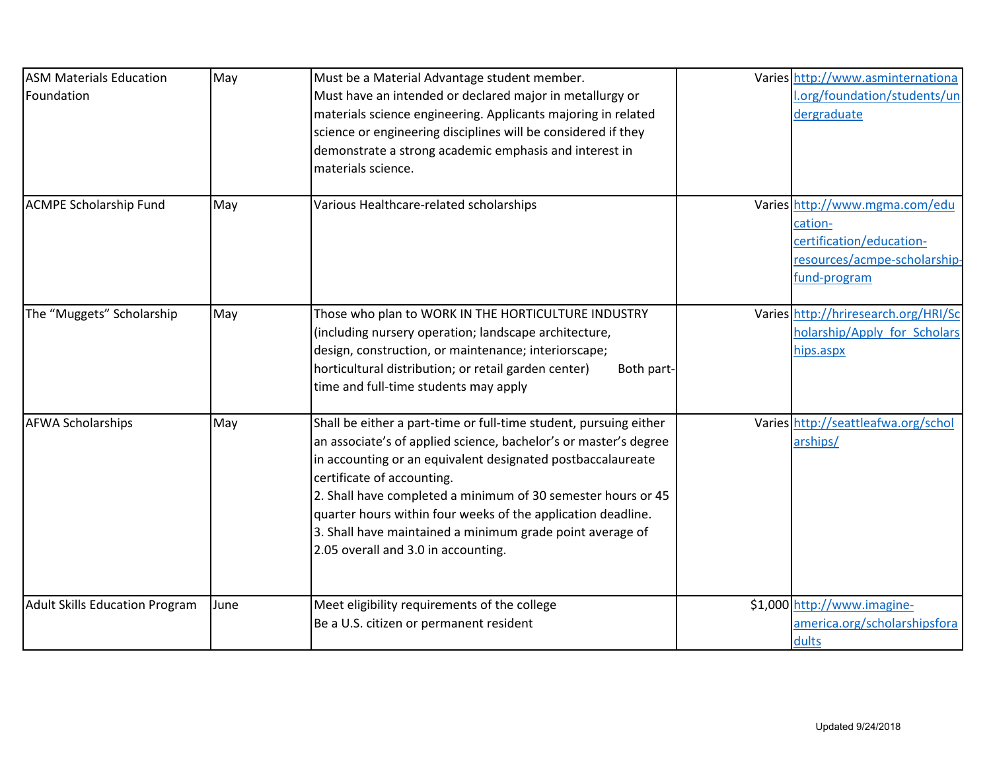| <b>ASM Materials Education</b><br>Foundation | May  | Must be a Material Advantage student member.<br>Must have an intended or declared major in metallurgy or<br>materials science engineering. Applicants majoring in related<br>science or engineering disciplines will be considered if they<br>demonstrate a strong academic emphasis and interest in<br>materials science.                                                                                                                                             | Varies http://www.asminternationa<br>l.org/foundation/students/un<br>dergraduate                                      |
|----------------------------------------------|------|------------------------------------------------------------------------------------------------------------------------------------------------------------------------------------------------------------------------------------------------------------------------------------------------------------------------------------------------------------------------------------------------------------------------------------------------------------------------|-----------------------------------------------------------------------------------------------------------------------|
| <b>ACMPE Scholarship Fund</b>                | May  | Various Healthcare-related scholarships                                                                                                                                                                                                                                                                                                                                                                                                                                | Varies http://www.mgma.com/edu<br>cation-<br>certification/education-<br>resources/acmpe-scholarship-<br>fund-program |
| The "Muggets" Scholarship                    | May  | Those who plan to WORK IN THE HORTICULTURE INDUSTRY<br>(including nursery operation; landscape architecture,<br>design, construction, or maintenance; interiorscape;<br>horticultural distribution; or retail garden center)<br>Both part-<br>time and full-time students may apply                                                                                                                                                                                    | Varies http://hriresearch.org/HRI/Sc<br>holarship/Apply for Scholars<br>hips.aspx                                     |
| <b>AFWA Scholarships</b>                     | May  | Shall be either a part-time or full-time student, pursuing either<br>an associate's of applied science, bachelor's or master's degree<br>in accounting or an equivalent designated postbaccalaureate<br>certificate of accounting.<br>2. Shall have completed a minimum of 30 semester hours or 45<br>quarter hours within four weeks of the application deadline.<br>3. Shall have maintained a minimum grade point average of<br>2.05 overall and 3.0 in accounting. | Varies http://seattleafwa.org/schol<br>arships/                                                                       |
| <b>Adult Skills Education Program</b>        | June | Meet eligibility requirements of the college<br>Be a U.S. citizen or permanent resident                                                                                                                                                                                                                                                                                                                                                                                | \$1,000 http://www.imagine-<br>america.org/scholarshipsfora<br>dults                                                  |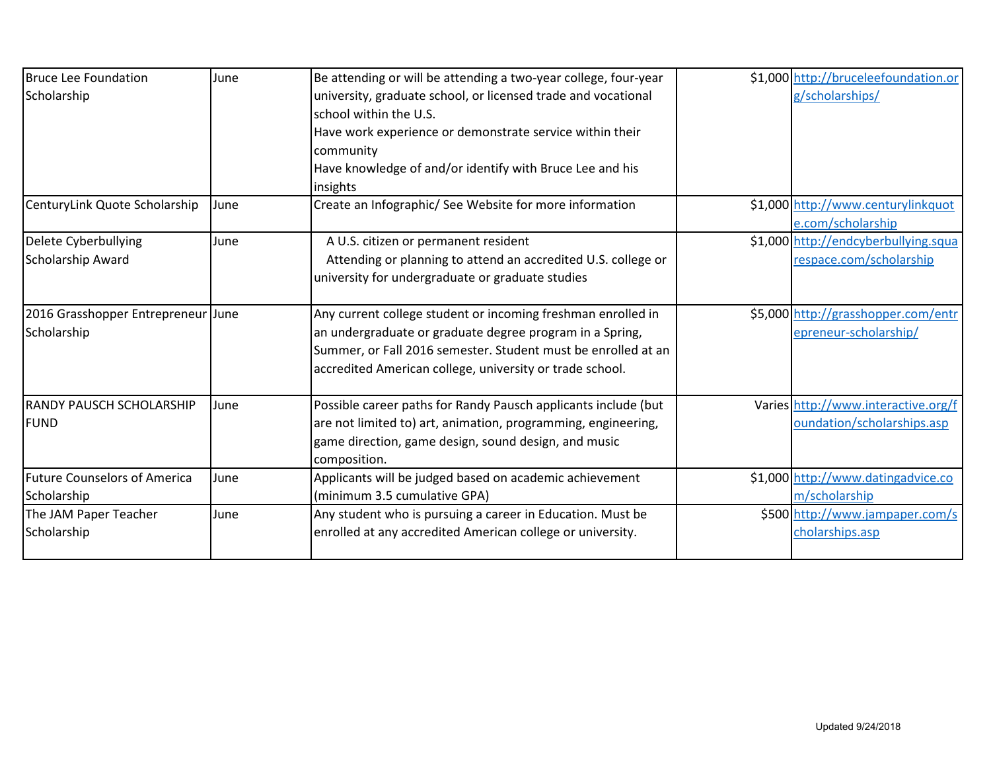| <b>Bruce Lee Foundation</b>         | June | Be attending or will be attending a two-year college, four-year | \$1,000 http://bruceleefoundation.or |
|-------------------------------------|------|-----------------------------------------------------------------|--------------------------------------|
| Scholarship                         |      | university, graduate school, or licensed trade and vocational   | g/scholarships/                      |
|                                     |      | school within the U.S.                                          |                                      |
|                                     |      | Have work experience or demonstrate service within their        |                                      |
|                                     |      | community                                                       |                                      |
|                                     |      | Have knowledge of and/or identify with Bruce Lee and his        |                                      |
|                                     |      | insights                                                        |                                      |
| CenturyLink Quote Scholarship       | June | Create an Infographic/ See Website for more information         | \$1,000 http://www.centurylinkquot   |
|                                     |      |                                                                 | e.com/scholarship                    |
| Delete Cyberbullying                | June | A U.S. citizen or permanent resident                            | \$1,000 http://endcyberbullying.squa |
| <b>Scholarship Award</b>            |      | Attending or planning to attend an accredited U.S. college or   | respace.com/scholarship              |
|                                     |      | university for undergraduate or graduate studies                |                                      |
| 2016 Grasshopper Entrepreneur June  |      | Any current college student or incoming freshman enrolled in    | \$5,000 http://grasshopper.com/entr  |
| Scholarship                         |      | an undergraduate or graduate degree program in a Spring,        | epreneur-scholarship/                |
|                                     |      | Summer, or Fall 2016 semester. Student must be enrolled at an   |                                      |
|                                     |      | accredited American college, university or trade school.        |                                      |
| <b>RANDY PAUSCH SCHOLARSHIP</b>     | June | Possible career paths for Randy Pausch applicants include (but  | Varies http://www.interactive.org/f  |
| <b>FUND</b>                         |      | are not limited to) art, animation, programming, engineering,   | oundation/scholarships.asp           |
|                                     |      | game direction, game design, sound design, and music            |                                      |
|                                     |      | composition.                                                    |                                      |
| <b>Future Counselors of America</b> | June | Applicants will be judged based on academic achievement         | \$1,000 http://www.datingadvice.co   |
| Scholarship                         |      | (minimum 3.5 cumulative GPA)                                    | m/scholarship                        |
| The JAM Paper Teacher               | June | Any student who is pursuing a career in Education. Must be      | \$500 http://www.jampaper.com/s      |
| Scholarship                         |      | enrolled at any accredited American college or university.      | cholarships.asp                      |
|                                     |      |                                                                 |                                      |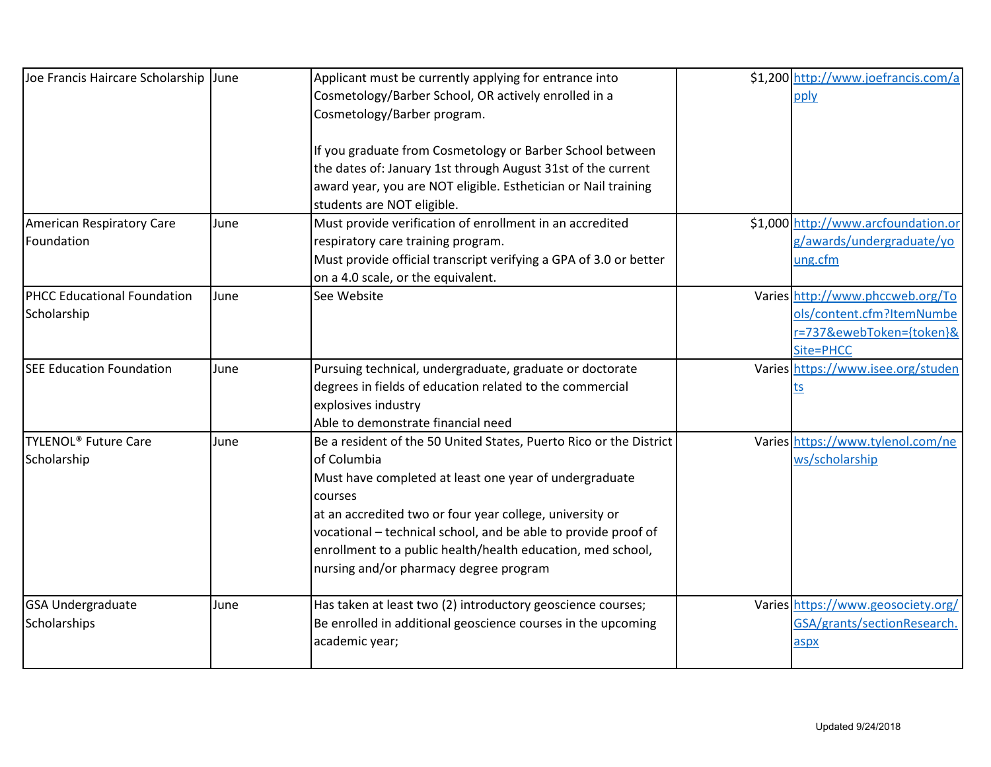| Joe Francis Haircare Scholarship June  |      | Applicant must be currently applying for entrance into             | \$1,200 http://www.joefrancis.com/a |
|----------------------------------------|------|--------------------------------------------------------------------|-------------------------------------|
|                                        |      | Cosmetology/Barber School, OR actively enrolled in a               | pply                                |
|                                        |      | Cosmetology/Barber program.                                        |                                     |
|                                        |      |                                                                    |                                     |
|                                        |      | If you graduate from Cosmetology or Barber School between          |                                     |
|                                        |      | the dates of: January 1st through August 31st of the current       |                                     |
|                                        |      | award year, you are NOT eligible. Esthetician or Nail training     |                                     |
|                                        |      | students are NOT eligible.                                         |                                     |
| American Respiratory Care              | June | Must provide verification of enrollment in an accredited           | \$1,000 http://www.arcfoundation.or |
| Foundation                             |      | respiratory care training program.                                 | g/awards/undergraduate/yo           |
|                                        |      | Must provide official transcript verifying a GPA of 3.0 or better  | ung.cfm                             |
|                                        |      | on a 4.0 scale, or the equivalent.                                 |                                     |
| <b>PHCC Educational Foundation</b>     | June | See Website                                                        | Varies http://www.phccweb.org/To    |
| Scholarship                            |      |                                                                    | ols/content.cfm?ItemNumbe           |
|                                        |      |                                                                    | r=737&ewebToken={token}&            |
|                                        |      |                                                                    | Site=PHCC                           |
| <b>SEE Education Foundation</b>        | June | Pursuing technical, undergraduate, graduate or doctorate           | Varies https://www.isee.org/studen  |
|                                        |      | degrees in fields of education related to the commercial           | <u>ts</u>                           |
|                                        |      | explosives industry                                                |                                     |
|                                        |      | Able to demonstrate financial need                                 |                                     |
| <b>TYLENOL<sup>®</sup> Future Care</b> | June | Be a resident of the 50 United States, Puerto Rico or the District | Varies https://www.tylenol.com/ne   |
| Scholarship                            |      | of Columbia                                                        | ws/scholarship                      |
|                                        |      | Must have completed at least one year of undergraduate             |                                     |
|                                        |      | courses                                                            |                                     |
|                                        |      | at an accredited two or four year college, university or           |                                     |
|                                        |      | vocational - technical school, and be able to provide proof of     |                                     |
|                                        |      | enrollment to a public health/health education, med school,        |                                     |
|                                        |      | nursing and/or pharmacy degree program                             |                                     |
| <b>GSA Undergraduate</b>               | June | Has taken at least two (2) introductory geoscience courses;        | Varies https://www.geosociety.org/  |
| Scholarships                           |      | Be enrolled in additional geoscience courses in the upcoming       | GSA/grants/sectionResearch.         |
|                                        |      | academic year;                                                     | aspx                                |
|                                        |      |                                                                    |                                     |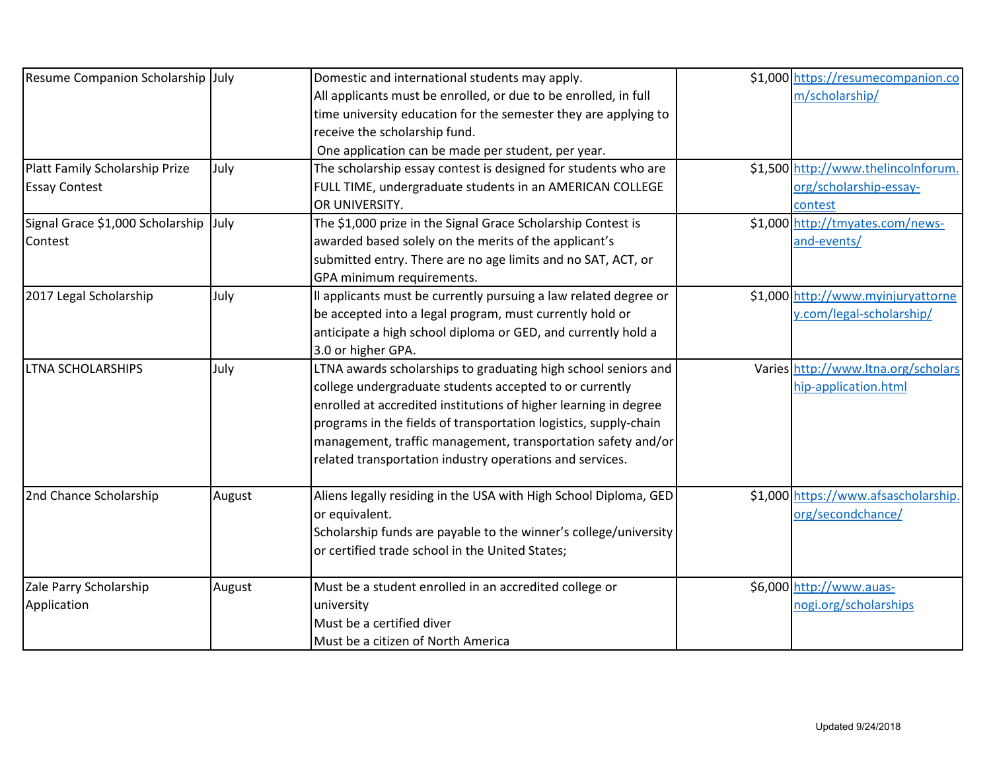| Resume Companion Scholarship July     |        | Domestic and international students may apply.                   | \$1,000 https://resumecompanion.co  |
|---------------------------------------|--------|------------------------------------------------------------------|-------------------------------------|
|                                       |        | All applicants must be enrolled, or due to be enrolled, in full  | m/scholarship/                      |
|                                       |        | time university education for the semester they are applying to  |                                     |
|                                       |        | receive the scholarship fund.                                    |                                     |
|                                       |        | One application can be made per student, per year.               |                                     |
| Platt Family Scholarship Prize        | July   | The scholarship essay contest is designed for students who are   | \$1,500 http://www.thelincolnforum  |
| <b>Essay Contest</b>                  |        | FULL TIME, undergraduate students in an AMERICAN COLLEGE         | org/scholarship-essay-              |
|                                       |        | OR UNIVERSITY.                                                   | contest                             |
| Signal Grace \$1,000 Scholarship July |        | The \$1,000 prize in the Signal Grace Scholarship Contest is     | \$1,000 http://tmyates.com/news-    |
| Contest                               |        | awarded based solely on the merits of the applicant's            | and-events/                         |
|                                       |        | submitted entry. There are no age limits and no SAT, ACT, or     |                                     |
|                                       |        | GPA minimum requirements.                                        |                                     |
| 2017 Legal Scholarship                | July   | Il applicants must be currently pursuing a law related degree or | \$1,000 http://www.myinjuryattorne  |
|                                       |        | be accepted into a legal program, must currently hold or         | y.com/legal-scholarship/            |
|                                       |        | anticipate a high school diploma or GED, and currently hold a    |                                     |
|                                       |        | 3.0 or higher GPA.                                               |                                     |
| <b>LTNA SCHOLARSHIPS</b>              | July   | LTNA awards scholarships to graduating high school seniors and   | Varies http://www.ltna.org/scholars |
|                                       |        | college undergraduate students accepted to or currently          | hip-application.html                |
|                                       |        | enrolled at accredited institutions of higher learning in degree |                                     |
|                                       |        | programs in the fields of transportation logistics, supply-chain |                                     |
|                                       |        | management, traffic management, transportation safety and/or     |                                     |
|                                       |        | related transportation industry operations and services.         |                                     |
| 2nd Chance Scholarship                | August | Aliens legally residing in the USA with High School Diploma, GED | \$1,000 https://www.afsascholarship |
|                                       |        | or equivalent.                                                   | org/secondchance/                   |
|                                       |        | Scholarship funds are payable to the winner's college/university |                                     |
|                                       |        | or certified trade school in the United States;                  |                                     |
| Zale Parry Scholarship                | August | Must be a student enrolled in an accredited college or           | \$6,000 http://www.auas-            |
| Application                           |        | university                                                       | nogi.org/scholarships               |
|                                       |        | Must be a certified diver                                        |                                     |
|                                       |        | Must be a citizen of North America                               |                                     |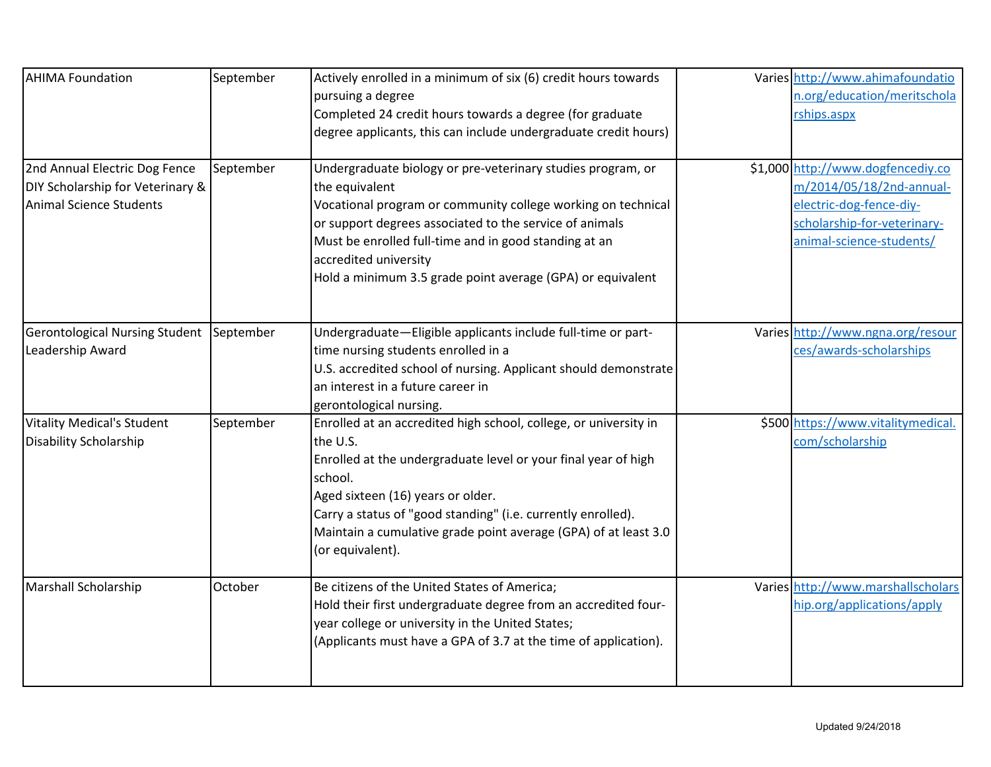| <b>AHIMA Foundation</b>                                                                      | September | Actively enrolled in a minimum of six (6) credit hours towards<br>pursuing a degree<br>Completed 24 credit hours towards a degree (for graduate<br>degree applicants, this can include undergraduate credit hours)                                                                                                                                       | Varies http://www.ahimafoundatio<br>n.org/education/meritschola<br>rships.aspx                                                                      |
|----------------------------------------------------------------------------------------------|-----------|----------------------------------------------------------------------------------------------------------------------------------------------------------------------------------------------------------------------------------------------------------------------------------------------------------------------------------------------------------|-----------------------------------------------------------------------------------------------------------------------------------------------------|
| 2nd Annual Electric Dog Fence<br>DIY Scholarship for Veterinary &<br>Animal Science Students | September | Undergraduate biology or pre-veterinary studies program, or<br>the equivalent<br>Vocational program or community college working on technical<br>or support degrees associated to the service of animals<br>Must be enrolled full-time and in good standing at an<br>accredited university<br>Hold a minimum 3.5 grade point average (GPA) or equivalent | \$1,000 http://www.dogfencediy.co<br>m/2014/05/18/2nd-annual-<br>electric-dog-fence-diy-<br>scholarship-for-veterinary-<br>animal-science-students/ |
| <b>Gerontological Nursing Student</b><br>Leadership Award                                    | September | Undergraduate-Eligible applicants include full-time or part-<br>time nursing students enrolled in a<br>U.S. accredited school of nursing. Applicant should demonstrate<br>an interest in a future career in<br>gerontological nursing.                                                                                                                   | Varies http://www.ngna.org/resour<br>ces/awards-scholarships                                                                                        |
| <b>Vitality Medical's Student</b><br><b>Disability Scholarship</b>                           | September | Enrolled at an accredited high school, college, or university in<br>the U.S.<br>Enrolled at the undergraduate level or your final year of high<br>school.<br>Aged sixteen (16) years or older.<br>Carry a status of "good standing" (i.e. currently enrolled).<br>Maintain a cumulative grade point average (GPA) of at least 3.0<br>(or equivalent).    | \$500 https://www.vitalitymedical.<br>com/scholarship                                                                                               |
| <b>Marshall Scholarship</b>                                                                  | October   | Be citizens of the United States of America;<br>Hold their first undergraduate degree from an accredited four-<br>year college or university in the United States;<br>(Applicants must have a GPA of 3.7 at the time of application).                                                                                                                    | Varies http://www.marshallscholars<br>hip.org/applications/apply                                                                                    |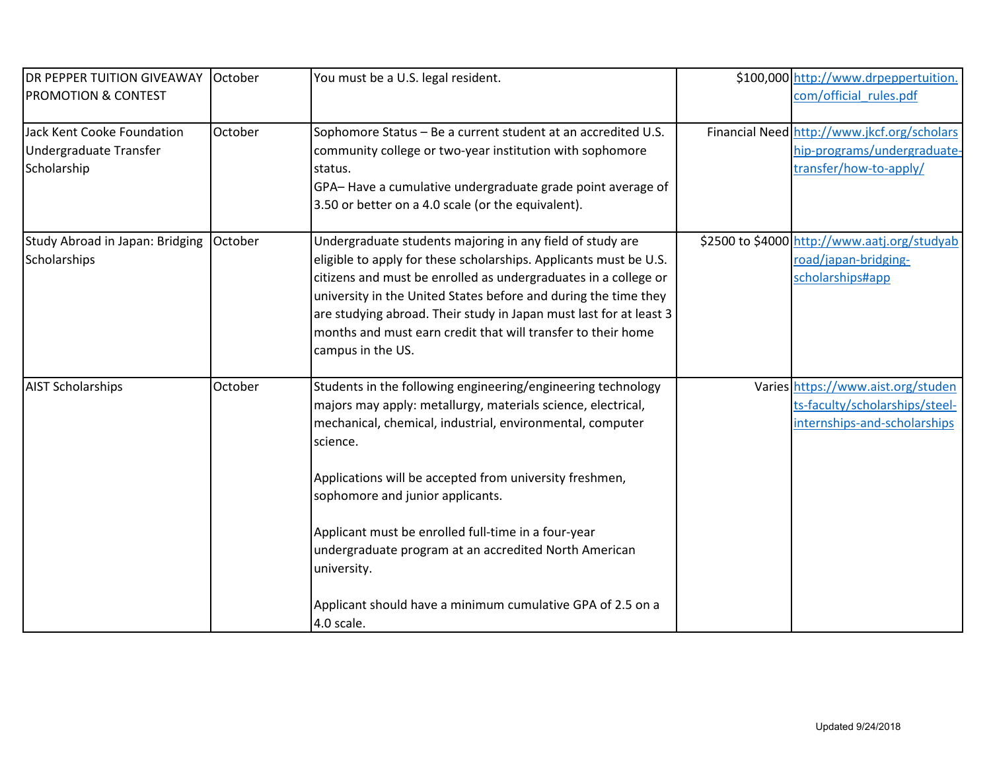| <b>DR PEPPER TUITION GIVEAWAY</b><br><b>PROMOTION &amp; CONTEST</b> | October | You must be a U.S. legal resident.                                                                                                                                                                                                                                                                                                                                                                                                                                                                              | \$100,000 http://www.drpeppertuition.<br>com/official rules.pdf                                      |
|---------------------------------------------------------------------|---------|-----------------------------------------------------------------------------------------------------------------------------------------------------------------------------------------------------------------------------------------------------------------------------------------------------------------------------------------------------------------------------------------------------------------------------------------------------------------------------------------------------------------|------------------------------------------------------------------------------------------------------|
|                                                                     |         |                                                                                                                                                                                                                                                                                                                                                                                                                                                                                                                 |                                                                                                      |
| Jack Kent Cooke Foundation<br>Undergraduate Transfer<br>Scholarship | October | Sophomore Status - Be a current student at an accredited U.S.<br>community college or two-year institution with sophomore<br>status.<br>GPA-Have a cumulative undergraduate grade point average of<br>3.50 or better on a 4.0 scale (or the equivalent).                                                                                                                                                                                                                                                        | Financial Need http://www.jkcf.org/scholars<br>hip-programs/undergraduate-<br>transfer/how-to-apply/ |
| Study Abroad in Japan: Bridging   October<br>Scholarships           |         | Undergraduate students majoring in any field of study are<br>eligible to apply for these scholarships. Applicants must be U.S.<br>citizens and must be enrolled as undergraduates in a college or<br>university in the United States before and during the time they<br>are studying abroad. Their study in Japan must last for at least 3<br>months and must earn credit that will transfer to their home<br>campus in the US.                                                                                 | \$2500 to \$4000 http://www.aatj.org/studyab<br>road/japan-bridging-<br>scholarships#app             |
| <b>AIST Scholarships</b>                                            | October | Students in the following engineering/engineering technology<br>majors may apply: metallurgy, materials science, electrical,<br>mechanical, chemical, industrial, environmental, computer<br>science.<br>Applications will be accepted from university freshmen,<br>sophomore and junior applicants.<br>Applicant must be enrolled full-time in a four-year<br>undergraduate program at an accredited North American<br>university.<br>Applicant should have a minimum cumulative GPA of 2.5 on a<br>4.0 scale. | Varies https://www.aist.org/studen<br>ts-faculty/scholarships/steel-<br>internships-and-scholarships |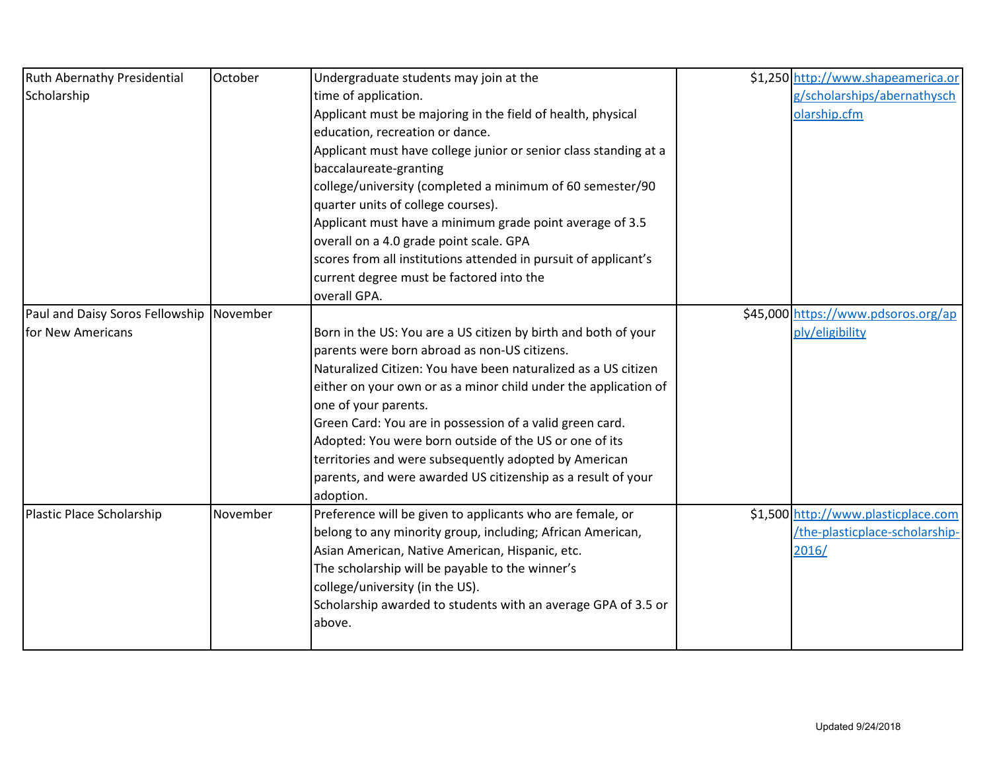| <b>Ruth Abernathy Presidential</b>       | October  | Undergraduate students may join at the                           | \$1,250 http://www.shapeamerica.or  |
|------------------------------------------|----------|------------------------------------------------------------------|-------------------------------------|
| Scholarship                              |          | time of application.                                             | g/scholarships/abernathysch         |
|                                          |          | Applicant must be majoring in the field of health, physical      | olarship.cfm                        |
|                                          |          | education, recreation or dance.                                  |                                     |
|                                          |          | Applicant must have college junior or senior class standing at a |                                     |
|                                          |          | baccalaureate-granting                                           |                                     |
|                                          |          | college/university (completed a minimum of 60 semester/90        |                                     |
|                                          |          | quarter units of college courses).                               |                                     |
|                                          |          | Applicant must have a minimum grade point average of 3.5         |                                     |
|                                          |          | overall on a 4.0 grade point scale. GPA                          |                                     |
|                                          |          | scores from all institutions attended in pursuit of applicant's  |                                     |
|                                          |          | current degree must be factored into the                         |                                     |
|                                          |          | overall GPA.                                                     |                                     |
| Paul and Daisy Soros Fellowship November |          |                                                                  | \$45,000 https://www.pdsoros.org/ap |
| for New Americans                        |          | Born in the US: You are a US citizen by birth and both of your   | ply/eligibility                     |
|                                          |          | parents were born abroad as non-US citizens.                     |                                     |
|                                          |          | Naturalized Citizen: You have been naturalized as a US citizen   |                                     |
|                                          |          | either on your own or as a minor child under the application of  |                                     |
|                                          |          | one of your parents.                                             |                                     |
|                                          |          | Green Card: You are in possession of a valid green card.         |                                     |
|                                          |          | Adopted: You were born outside of the US or one of its           |                                     |
|                                          |          | territories and were subsequently adopted by American            |                                     |
|                                          |          | parents, and were awarded US citizenship as a result of your     |                                     |
|                                          |          | adoption.                                                        |                                     |
| Plastic Place Scholarship                | November | Preference will be given to applicants who are female, or        | \$1,500 http://www.plasticplace.com |
|                                          |          | belong to any minority group, including; African American,       | /the-plasticplace-scholarship-      |
|                                          |          | Asian American, Native American, Hispanic, etc.                  | 2016/                               |
|                                          |          | The scholarship will be payable to the winner's                  |                                     |
|                                          |          | college/university (in the US).                                  |                                     |
|                                          |          | Scholarship awarded to students with an average GPA of 3.5 or    |                                     |
|                                          |          | above.                                                           |                                     |
|                                          |          |                                                                  |                                     |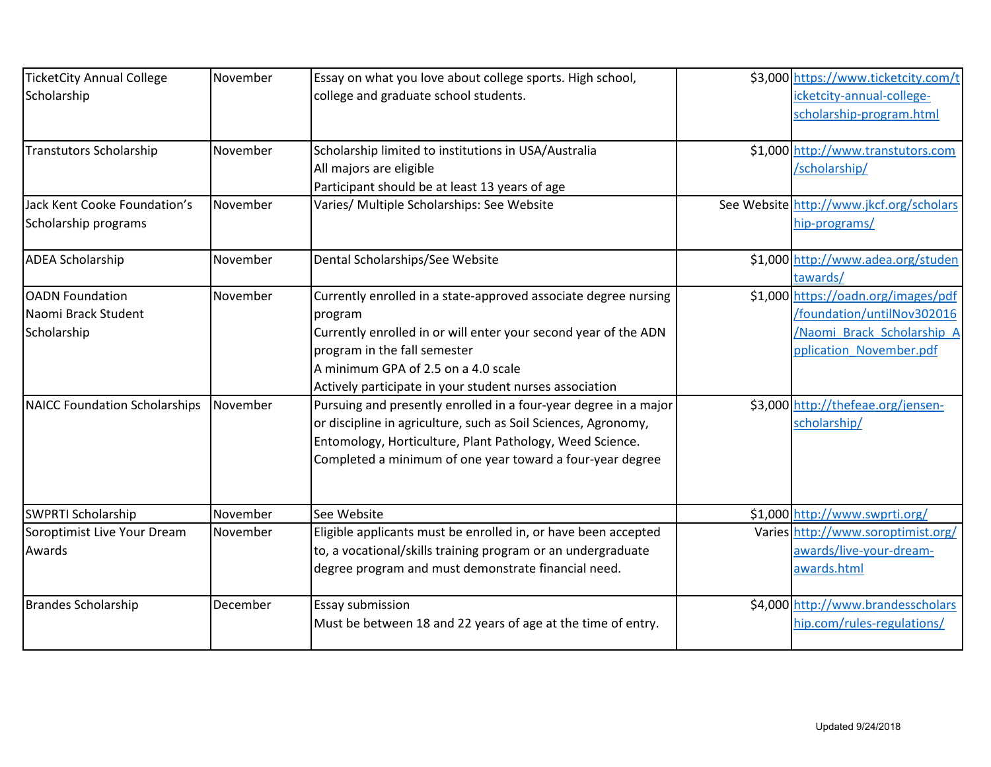| <b>TicketCity Annual College</b>     | November | Essay on what you love about college sports. High school,        | \$3,000 https://www.ticketcity.com/t     |
|--------------------------------------|----------|------------------------------------------------------------------|------------------------------------------|
| Scholarship                          |          | college and graduate school students.                            | icketcity-annual-college-                |
|                                      |          |                                                                  | scholarship-program.html                 |
| Transtutors Scholarship              | November | Scholarship limited to institutions in USA/Australia             | \$1,000 http://www.transtutors.com       |
|                                      |          | All majors are eligible                                          | /scholarship/                            |
|                                      |          | Participant should be at least 13 years of age                   |                                          |
| Jack Kent Cooke Foundation's         | November | Varies/ Multiple Scholarships: See Website                       | See Website http://www.jkcf.org/scholars |
| Scholarship programs                 |          |                                                                  | hip-programs/                            |
| <b>ADEA Scholarship</b>              | November | Dental Scholarships/See Website                                  | \$1,000 http://www.adea.org/studen       |
|                                      |          |                                                                  | tawards/                                 |
| <b>OADN</b> Foundation               | November | Currently enrolled in a state-approved associate degree nursing  | \$1,000 https://oadn.org/images/pdf      |
| Naomi Brack Student                  |          | program                                                          | /foundation/untilNov302016               |
| Scholarship                          |          | Currently enrolled in or will enter your second year of the ADN  | /Naomi Brack Scholarship A               |
|                                      |          | program in the fall semester                                     | pplication November.pdf                  |
|                                      |          | A minimum GPA of 2.5 on a 4.0 scale                              |                                          |
|                                      |          | Actively participate in your student nurses association          |                                          |
| <b>NAICC Foundation Scholarships</b> | November | Pursuing and presently enrolled in a four-year degree in a major | \$3,000 http://thefeae.org/jensen-       |
|                                      |          | or discipline in agriculture, such as Soil Sciences, Agronomy,   | scholarship/                             |
|                                      |          | Entomology, Horticulture, Plant Pathology, Weed Science.         |                                          |
|                                      |          | Completed a minimum of one year toward a four-year degree        |                                          |
| <b>SWPRTI Scholarship</b>            | November | See Website                                                      | \$1,000 http://www.swprti.org/           |
| Soroptimist Live Your Dream          | November | Eligible applicants must be enrolled in, or have been accepted   | Varies http://www.soroptimist.org/       |
| Awards                               |          | to, a vocational/skills training program or an undergraduate     | awards/live-your-dream-                  |
|                                      |          | degree program and must demonstrate financial need.              | awards.html                              |
| <b>Brandes Scholarship</b>           | December | <b>Essay submission</b>                                          | \$4,000 http://www.brandesscholars       |
|                                      |          | Must be between 18 and 22 years of age at the time of entry.     | hip.com/rules-regulations/               |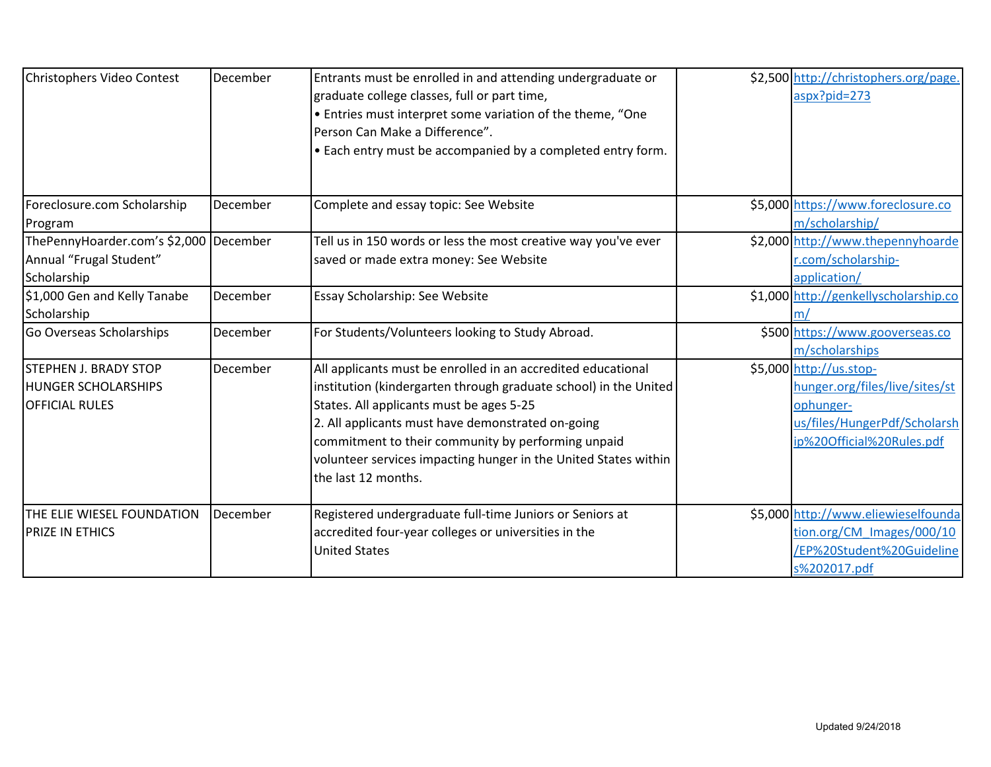| Christophers Video Contest                                                          | December | Entrants must be enrolled in and attending undergraduate or<br>graduate college classes, full or part time,<br>• Entries must interpret some variation of the theme, "One<br>Person Can Make a Difference".<br>. Each entry must be accompanied by a completed entry form.                                                                                                        | \$2,500 http://christophers.org/page.<br>aspx?pid=273                                                                               |
|-------------------------------------------------------------------------------------|----------|-----------------------------------------------------------------------------------------------------------------------------------------------------------------------------------------------------------------------------------------------------------------------------------------------------------------------------------------------------------------------------------|-------------------------------------------------------------------------------------------------------------------------------------|
| Foreclosure.com Scholarship<br>Program                                              | December | Complete and essay topic: See Website                                                                                                                                                                                                                                                                                                                                             | \$5,000 https://www.foreclosure.co<br>m/scholarship/                                                                                |
| ThePennyHoarder.com's \$2,000 December<br>Annual "Frugal Student"<br>Scholarship    |          | Tell us in 150 words or less the most creative way you've ever<br>saved or made extra money: See Website                                                                                                                                                                                                                                                                          | \$2,000 http://www.thepennyhoarde<br>r.com/scholarship-<br>application/                                                             |
| \$1,000 Gen and Kelly Tanabe<br>Scholarship                                         | December | Essay Scholarship: See Website                                                                                                                                                                                                                                                                                                                                                    | \$1,000 http://genkellyscholarship.co<br>m/                                                                                         |
| Go Overseas Scholarships                                                            | December | For Students/Volunteers looking to Study Abroad.                                                                                                                                                                                                                                                                                                                                  | \$500 https://www.gooverseas.co<br>m/scholarships                                                                                   |
| <b>STEPHEN J. BRADY STOP</b><br><b>HUNGER SCHOLARSHIPS</b><br><b>OFFICIAL RULES</b> | December | All applicants must be enrolled in an accredited educational<br>institution (kindergarten through graduate school) in the United<br>States. All applicants must be ages 5-25<br>2. All applicants must have demonstrated on-going<br>commitment to their community by performing unpaid<br>volunteer services impacting hunger in the United States within<br>the last 12 months. | \$5,000 http://us.stop-<br>hunger.org/files/live/sites/st<br>ophunger-<br>us/files/HungerPdf/Scholarsh<br>ip%20Official%20Rules.pdf |
| <b>THE ELIE WIESEL FOUNDATION</b><br><b>PRIZE IN ETHICS</b>                         | December | Registered undergraduate full-time Juniors or Seniors at<br>accredited four-year colleges or universities in the<br><b>United States</b>                                                                                                                                                                                                                                          | \$5,000 http://www.eliewieselfounda<br>tion.org/CM Images/000/10<br>/EP%20Student%20Guideline<br>s%202017.pdf                       |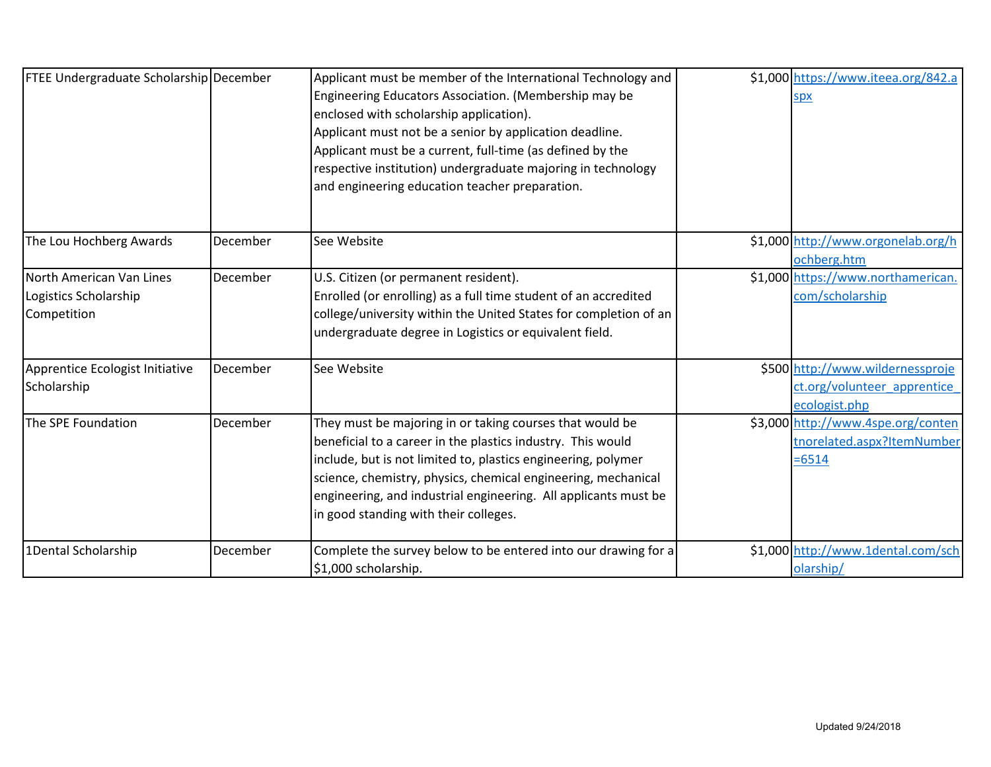| FTEE Undergraduate Scholarship December                          |          | Applicant must be member of the International Technology and<br>Engineering Educators Association. (Membership may be<br>enclosed with scholarship application).<br>Applicant must not be a senior by application deadline.<br>Applicant must be a current, full-time (as defined by the<br>respective institution) undergraduate majoring in technology<br>and engineering education teacher preparation. | \$1,000 https://www.iteea.org/842.a<br>spx                                       |
|------------------------------------------------------------------|----------|------------------------------------------------------------------------------------------------------------------------------------------------------------------------------------------------------------------------------------------------------------------------------------------------------------------------------------------------------------------------------------------------------------|----------------------------------------------------------------------------------|
| The Lou Hochberg Awards                                          | December | See Website                                                                                                                                                                                                                                                                                                                                                                                                | \$1,000 http://www.orgonelab.org/h<br>ochberg.htm                                |
| North American Van Lines<br>Logistics Scholarship<br>Competition | December | U.S. Citizen (or permanent resident).<br>Enrolled (or enrolling) as a full time student of an accredited<br>college/university within the United States for completion of an<br>undergraduate degree in Logistics or equivalent field.                                                                                                                                                                     | \$1,000 https://www.northamerican.<br>com/scholarship                            |
| Apprentice Ecologist Initiative<br>Scholarship                   | December | See Website                                                                                                                                                                                                                                                                                                                                                                                                | \$500 http://www.wildernessproje<br>ct.org/volunteer apprentice<br>ecologist.php |
| The SPE Foundation                                               | December | They must be majoring in or taking courses that would be<br>beneficial to a career in the plastics industry. This would<br>include, but is not limited to, plastics engineering, polymer<br>science, chemistry, physics, chemical engineering, mechanical<br>engineering, and industrial engineering. All applicants must be<br>in good standing with their colleges.                                      | \$3,000 http://www.4spe.org/conten<br>tnorelated.aspx?ItemNumber<br>$= 6514$     |
| 1Dental Scholarship                                              | December | Complete the survey below to be entered into our drawing for a<br>\$1,000 scholarship.                                                                                                                                                                                                                                                                                                                     | \$1,000 http://www.1dental.com/sch<br>olarship/                                  |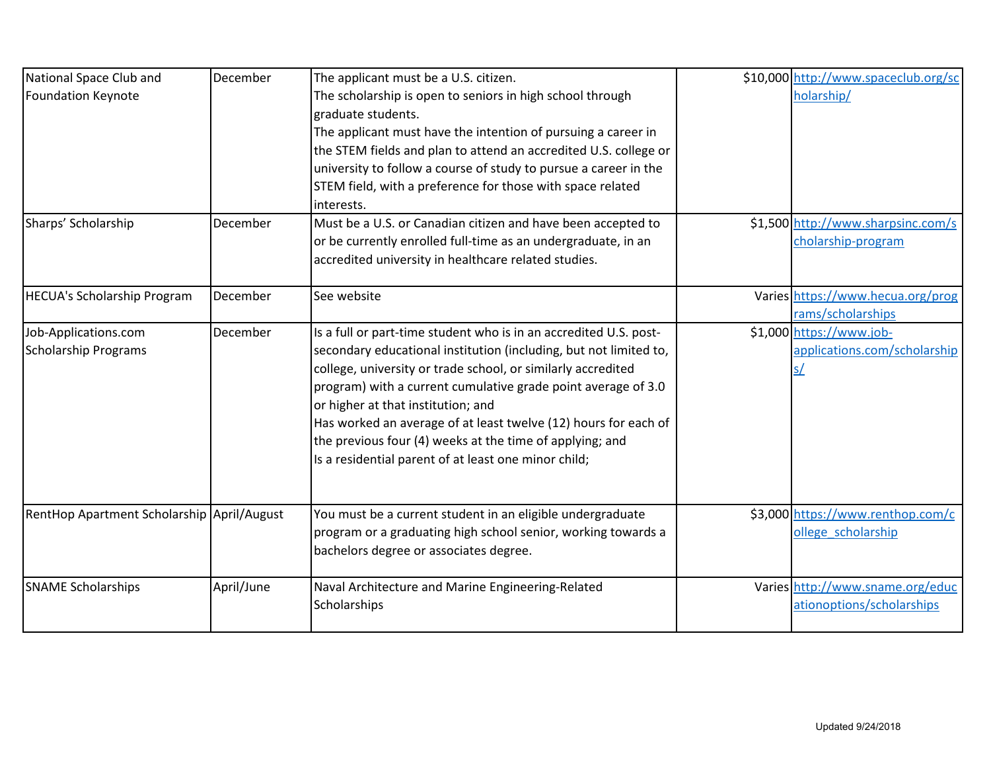| National Space Club and                    | December   | The applicant must be a U.S. citizen.                             | \$10,000 http://www.spaceclub.org/sc |
|--------------------------------------------|------------|-------------------------------------------------------------------|--------------------------------------|
| <b>Foundation Keynote</b>                  |            | The scholarship is open to seniors in high school through         | holarship/                           |
|                                            |            | graduate students.                                                |                                      |
|                                            |            | The applicant must have the intention of pursuing a career in     |                                      |
|                                            |            | the STEM fields and plan to attend an accredited U.S. college or  |                                      |
|                                            |            | university to follow a course of study to pursue a career in the  |                                      |
|                                            |            | STEM field, with a preference for those with space related        |                                      |
|                                            |            | interests.                                                        |                                      |
| Sharps' Scholarship                        | December   | Must be a U.S. or Canadian citizen and have been accepted to      | \$1,500 http://www.sharpsinc.com/s   |
|                                            |            | or be currently enrolled full-time as an undergraduate, in an     | cholarship-program                   |
|                                            |            | accredited university in healthcare related studies.              |                                      |
| <b>HECUA's Scholarship Program</b>         | December   | See website                                                       | Varies https://www.hecua.org/prog    |
|                                            |            |                                                                   | rams/scholarships                    |
| Job-Applications.com                       | December   | Is a full or part-time student who is in an accredited U.S. post- | \$1,000 https://www.job-             |
| <b>Scholarship Programs</b>                |            | secondary educational institution (including, but not limited to, | applications.com/scholarship         |
|                                            |            | college, university or trade school, or similarly accredited      | <u>s/</u>                            |
|                                            |            | program) with a current cumulative grade point average of 3.0     |                                      |
|                                            |            | or higher at that institution; and                                |                                      |
|                                            |            | Has worked an average of at least twelve (12) hours for each of   |                                      |
|                                            |            | the previous four (4) weeks at the time of applying; and          |                                      |
|                                            |            | Is a residential parent of at least one minor child;              |                                      |
|                                            |            |                                                                   |                                      |
| RentHop Apartment Scholarship April/August |            | You must be a current student in an eligible undergraduate        | \$3,000 https://www.renthop.com/c    |
|                                            |            | program or a graduating high school senior, working towards a     | ollege scholarship                   |
|                                            |            | bachelors degree or associates degree.                            |                                      |
| <b>SNAME Scholarships</b>                  | April/June | Naval Architecture and Marine Engineering-Related                 | Varies http://www.sname.org/educ     |
|                                            |            | Scholarships                                                      | ationoptions/scholarships            |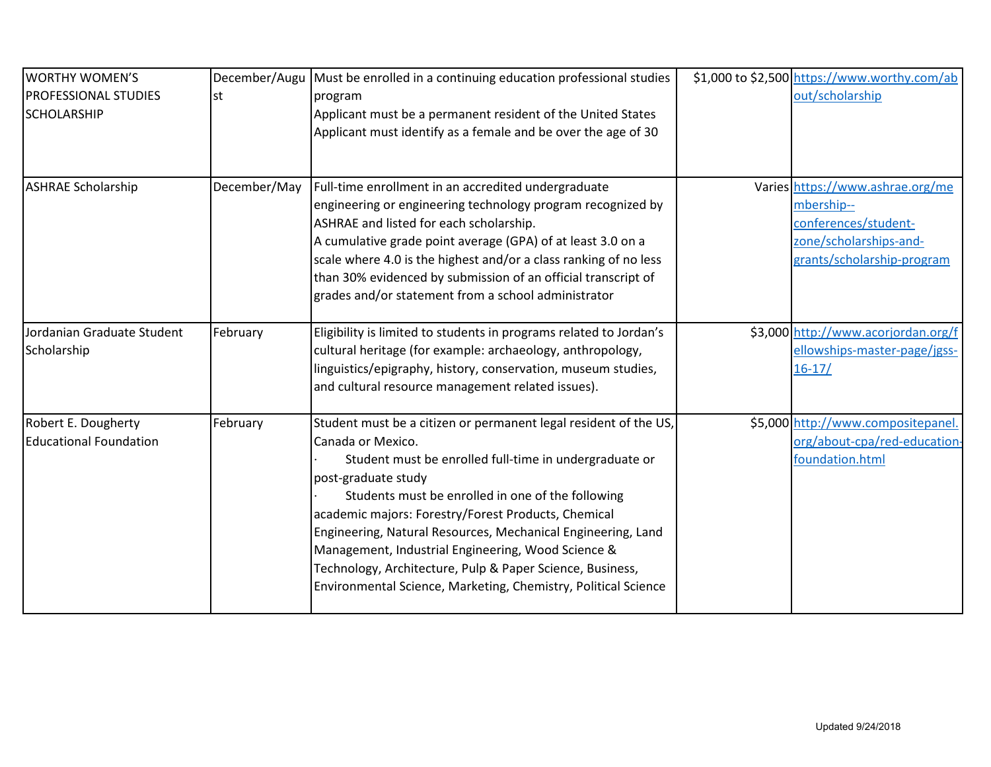| <b>WORTHY WOMEN'S</b>         |              | December/Augu Must be enrolled in a continuing education professional studies | \$1,000 to \$2,500 https://www.worthy.com/ab |
|-------------------------------|--------------|-------------------------------------------------------------------------------|----------------------------------------------|
| <b>PROFESSIONAL STUDIES</b>   | lst          | program                                                                       | out/scholarship                              |
| <b>SCHOLARSHIP</b>            |              | Applicant must be a permanent resident of the United States                   |                                              |
|                               |              | Applicant must identify as a female and be over the age of 30                 |                                              |
|                               |              |                                                                               |                                              |
| <b>ASHRAE Scholarship</b>     | December/May | Full-time enrollment in an accredited undergraduate                           | Varies https://www.ashrae.org/me             |
|                               |              | engineering or engineering technology program recognized by                   | mbership--                                   |
|                               |              | ASHRAE and listed for each scholarship.                                       | conferences/student-                         |
|                               |              | A cumulative grade point average (GPA) of at least 3.0 on a                   | zone/scholarships-and-                       |
|                               |              | scale where 4.0 is the highest and/or a class ranking of no less              | grants/scholarship-program                   |
|                               |              | than 30% evidenced by submission of an official transcript of                 |                                              |
|                               |              | grades and/or statement from a school administrator                           |                                              |
| Jordanian Graduate Student    | February     | Eligibility is limited to students in programs related to Jordan's            | \$3,000 http://www.acorjordan.org/f          |
| Scholarship                   |              | cultural heritage (for example: archaeology, anthropology,                    | ellowships-master-page/jgss-                 |
|                               |              | linguistics/epigraphy, history, conservation, museum studies,                 | $16 - 17/$                                   |
|                               |              | and cultural resource management related issues).                             |                                              |
| Robert E. Dougherty           | February     | Student must be a citizen or permanent legal resident of the US,              | \$5,000 http://www.compositepanel.           |
| <b>Educational Foundation</b> |              | Canada or Mexico.                                                             | org/about-cpa/red-education-                 |
|                               |              | Student must be enrolled full-time in undergraduate or                        | foundation.html                              |
|                               |              | post-graduate study                                                           |                                              |
|                               |              | Students must be enrolled in one of the following                             |                                              |
|                               |              | academic majors: Forestry/Forest Products, Chemical                           |                                              |
|                               |              | Engineering, Natural Resources, Mechanical Engineering, Land                  |                                              |
|                               |              | Management, Industrial Engineering, Wood Science &                            |                                              |
|                               |              | Technology, Architecture, Pulp & Paper Science, Business,                     |                                              |
|                               |              | Environmental Science, Marketing, Chemistry, Political Science                |                                              |
|                               |              |                                                                               |                                              |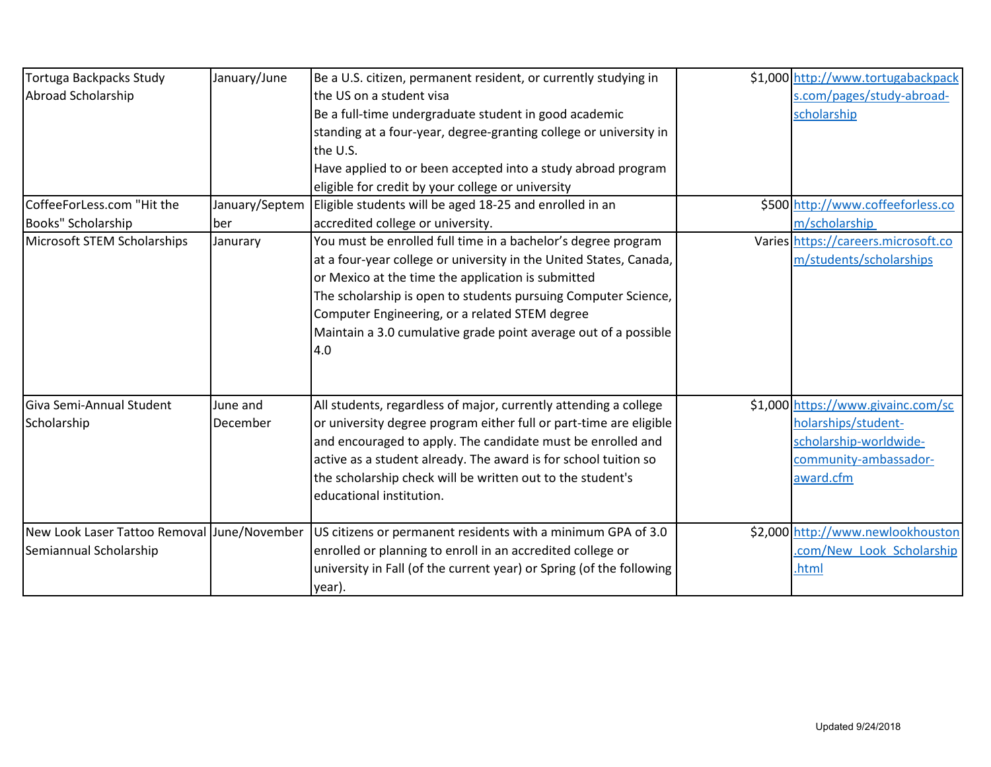| <b>Tortuga Backpacks Study</b><br>Abroad Scholarship<br>CoffeeForLess.com "Hit the | January/June<br>January/Septem | Be a U.S. citizen, permanent resident, or currently studying in<br>the US on a student visa<br>Be a full-time undergraduate student in good academic<br>standing at a four-year, degree-granting college or university in<br>the U.S.<br>Have applied to or been accepted into a study abroad program<br>eligible for credit by your college or university<br>Eligible students will be aged 18-25 and enrolled in an | \$1,000 http://www.tortugabackpack<br>s.com/pages/study-abroad-<br>scholarship<br>\$500 http://www.coffeeforless.co       |
|------------------------------------------------------------------------------------|--------------------------------|-----------------------------------------------------------------------------------------------------------------------------------------------------------------------------------------------------------------------------------------------------------------------------------------------------------------------------------------------------------------------------------------------------------------------|---------------------------------------------------------------------------------------------------------------------------|
| Books" Scholarship                                                                 | ber                            | accredited college or university.                                                                                                                                                                                                                                                                                                                                                                                     | m/scholarship                                                                                                             |
| Microsoft STEM Scholarships                                                        | Janurary                       | You must be enrolled full time in a bachelor's degree program<br>at a four-year college or university in the United States, Canada,<br>or Mexico at the time the application is submitted<br>The scholarship is open to students pursuing Computer Science,<br>Computer Engineering, or a related STEM degree<br>Maintain a 3.0 cumulative grade point average out of a possible<br>4.0                               | Varies https://careers.microsoft.co<br>m/students/scholarships                                                            |
| Giva Semi-Annual Student<br>Scholarship                                            | June and<br>December           | All students, regardless of major, currently attending a college<br>or university degree program either full or part-time are eligible<br>and encouraged to apply. The candidate must be enrolled and<br>active as a student already. The award is for school tuition so<br>the scholarship check will be written out to the student's<br>educational institution.                                                    | \$1,000 https://www.givainc.com/sc<br>holarships/student-<br>scholarship-worldwide-<br>community-ambassador-<br>award.cfm |
| New Look Laser Tattoo Removal June/November<br>Semiannual Scholarship              |                                | US citizens or permanent residents with a minimum GPA of 3.0<br>enrolled or planning to enroll in an accredited college or<br>university in Fall (of the current year) or Spring (of the following<br>year).                                                                                                                                                                                                          | \$2,000 http://www.newlookhouston<br>.com/New Look Scholarship<br>.html                                                   |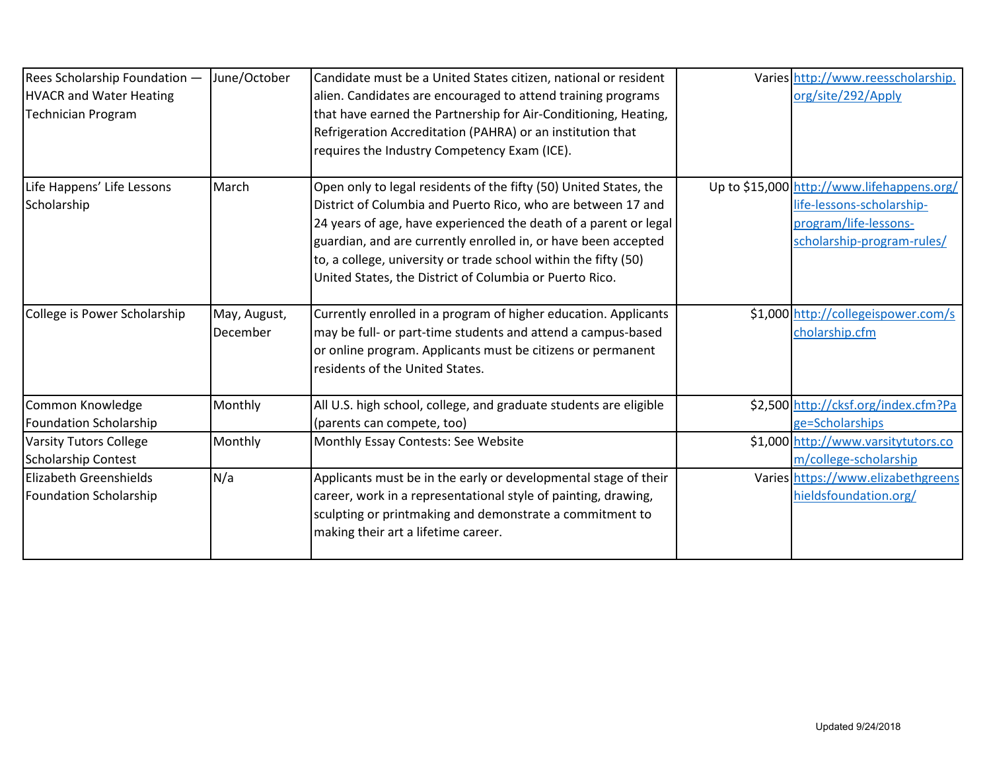| Rees Scholarship Foundation -<br><b>HVACR and Water Heating</b><br><b>Technician Program</b> | June/October             | Candidate must be a United States citizen, national or resident<br>alien. Candidates are encouraged to attend training programs<br>that have earned the Partnership for Air-Conditioning, Heating,<br>Refrigeration Accreditation (PAHRA) or an institution that<br>requires the Industry Competency Exam (ICE).                                                                                      | Varies http://www.reesscholarship.<br>org/site/292/Apply                                                                       |
|----------------------------------------------------------------------------------------------|--------------------------|-------------------------------------------------------------------------------------------------------------------------------------------------------------------------------------------------------------------------------------------------------------------------------------------------------------------------------------------------------------------------------------------------------|--------------------------------------------------------------------------------------------------------------------------------|
| Life Happens' Life Lessons<br>Scholarship                                                    | March                    | Open only to legal residents of the fifty (50) United States, the<br>District of Columbia and Puerto Rico, who are between 17 and<br>24 years of age, have experienced the death of a parent or legal<br>guardian, and are currently enrolled in, or have been accepted<br>to, a college, university or trade school within the fifty (50)<br>United States, the District of Columbia or Puerto Rico. | Up to \$15,000 http://www.lifehappens.org/<br>life-lessons-scholarship-<br>program/life-lessons-<br>scholarship-program-rules/ |
| College is Power Scholarship                                                                 | May, August,<br>December | Currently enrolled in a program of higher education. Applicants<br>may be full- or part-time students and attend a campus-based<br>or online program. Applicants must be citizens or permanent<br>residents of the United States.                                                                                                                                                                     | \$1,000 http://collegeispower.com/s<br>cholarship.cfm                                                                          |
| Common Knowledge<br><b>Foundation Scholarship</b>                                            | Monthly                  | All U.S. high school, college, and graduate students are eligible<br>(parents can compete, too)                                                                                                                                                                                                                                                                                                       | \$2,500 http://cksf.org/index.cfm?Pa<br>ge=Scholarships                                                                        |
| <b>Varsity Tutors College</b><br><b>Scholarship Contest</b>                                  | Monthly                  | Monthly Essay Contests: See Website                                                                                                                                                                                                                                                                                                                                                                   | \$1,000 http://www.varsitytutors.co<br>m/college-scholarship                                                                   |
| Elizabeth Greenshields<br><b>Foundation Scholarship</b>                                      | N/a                      | Applicants must be in the early or developmental stage of their<br>career, work in a representational style of painting, drawing,<br>sculpting or printmaking and demonstrate a commitment to<br>making their art a lifetime career.                                                                                                                                                                  | Varies https://www.elizabethgreens<br>hieldsfoundation.org/                                                                    |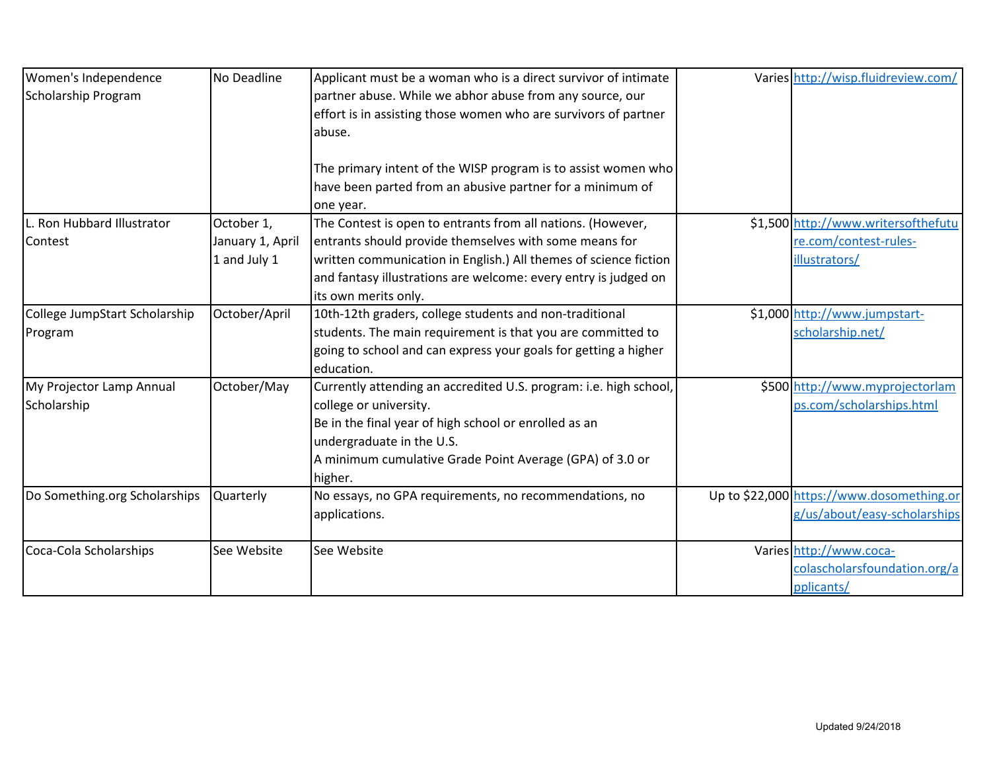| Women's Independence          | No Deadline      | Applicant must be a woman who is a direct survivor of intimate    | Varies http://wisp.fluidreview.com/       |
|-------------------------------|------------------|-------------------------------------------------------------------|-------------------------------------------|
| Scholarship Program           |                  | partner abuse. While we abhor abuse from any source, our          |                                           |
|                               |                  | effort is in assisting those women who are survivors of partner   |                                           |
|                               |                  | abuse.                                                            |                                           |
|                               |                  |                                                                   |                                           |
|                               |                  | The primary intent of the WISP program is to assist women who     |                                           |
|                               |                  | have been parted from an abusive partner for a minimum of         |                                           |
|                               |                  | one year.                                                         |                                           |
| L. Ron Hubbard Illustrator    | October 1,       | The Contest is open to entrants from all nations. (However,       | \$1,500 http://www.writersofthefutu       |
| Contest                       | January 1, April | entrants should provide themselves with some means for            | re.com/contest-rules-                     |
|                               | 1 and July 1     | written communication in English.) All themes of science fiction  | illustrators/                             |
|                               |                  | and fantasy illustrations are welcome: every entry is judged on   |                                           |
|                               |                  | its own merits only.                                              |                                           |
| College JumpStart Scholarship | October/April    | 10th-12th graders, college students and non-traditional           | \$1,000 http://www.jumpstart-             |
| Program                       |                  | students. The main requirement is that you are committed to       | scholarship.net/                          |
|                               |                  | going to school and can express your goals for getting a higher   |                                           |
|                               |                  | education.                                                        |                                           |
| My Projector Lamp Annual      | October/May      | Currently attending an accredited U.S. program: i.e. high school, | \$500 http://www.myprojectorlam           |
| Scholarship                   |                  | college or university.                                            | ps.com/scholarships.html                  |
|                               |                  | Be in the final year of high school or enrolled as an             |                                           |
|                               |                  | undergraduate in the U.S.                                         |                                           |
|                               |                  | A minimum cumulative Grade Point Average (GPA) of 3.0 or          |                                           |
|                               |                  | higher.                                                           |                                           |
| Do Something.org Scholarships | <b>Quarterly</b> | No essays, no GPA requirements, no recommendations, no            | Up to \$22,000 https://www.dosomething.or |
|                               |                  | applications.                                                     | g/us/about/easy-scholarships              |
| Coca-Cola Scholarships        | See Website      | See Website                                                       | Varies http://www.coca-                   |
|                               |                  |                                                                   |                                           |
|                               |                  |                                                                   | colascholarsfoundation.org/a              |
|                               |                  |                                                                   | pplicants/                                |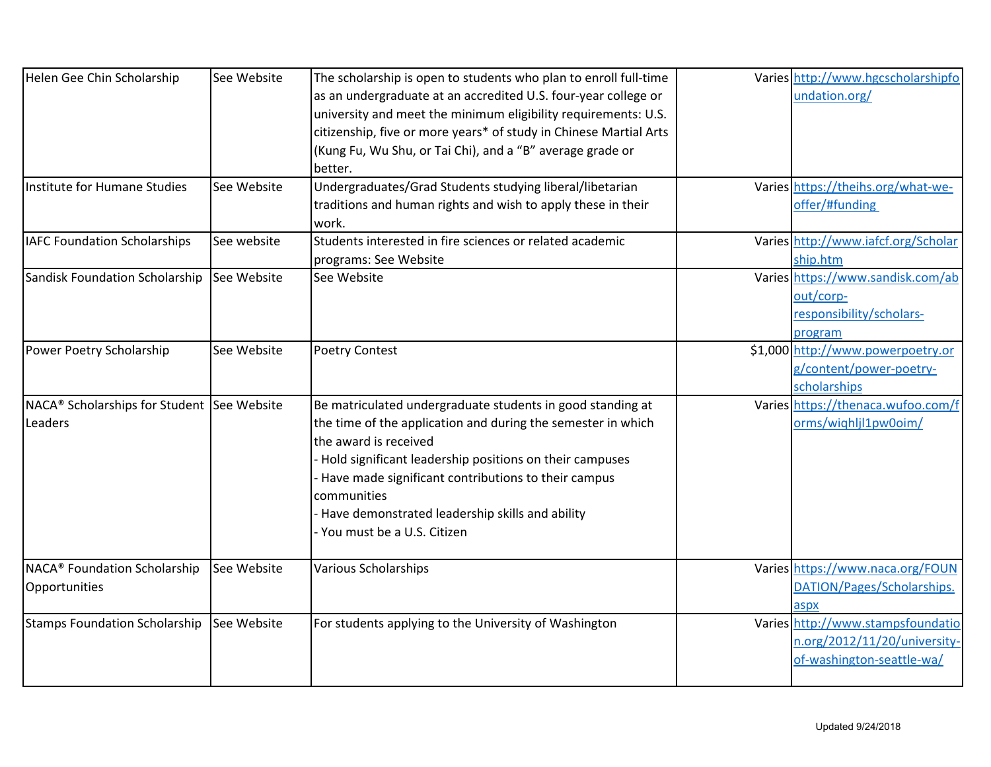| Helen Gee Chin Scholarship                             | See Website | The scholarship is open to students who plan to enroll full-time  | Varies http://www.hgcscholarshipfo  |
|--------------------------------------------------------|-------------|-------------------------------------------------------------------|-------------------------------------|
|                                                        |             | as an undergraduate at an accredited U.S. four-year college or    | undation.org/                       |
|                                                        |             | university and meet the minimum eligibility requirements: U.S.    |                                     |
|                                                        |             | citizenship, five or more years* of study in Chinese Martial Arts |                                     |
|                                                        |             | (Kung Fu, Wu Shu, or Tai Chi), and a "B" average grade or         |                                     |
|                                                        |             | better.                                                           |                                     |
| Institute for Humane Studies                           | See Website | Undergraduates/Grad Students studying liberal/libetarian          | Varies https://theihs.org/what-we-  |
|                                                        |             | traditions and human rights and wish to apply these in their      | offer/#funding                      |
|                                                        |             | work.                                                             |                                     |
| <b>IAFC Foundation Scholarships</b>                    | See website | Students interested in fire sciences or related academic          | Varies http://www.iafcf.org/Scholar |
|                                                        |             | programs: See Website                                             | ship.htm                            |
| Sandisk Foundation Scholarship                         | See Website | See Website                                                       | Varies https://www.sandisk.com/ab   |
|                                                        |             |                                                                   | out/corp-                           |
|                                                        |             |                                                                   | responsibility/scholars-            |
|                                                        |             |                                                                   | program                             |
| Power Poetry Scholarship                               | See Website | <b>Poetry Contest</b>                                             | \$1,000 http://www.powerpoetry.or   |
|                                                        |             |                                                                   | g/content/power-poetry-             |
|                                                        |             |                                                                   | scholarships                        |
| NACA <sup>®</sup> Scholarships for Student See Website |             | Be matriculated undergraduate students in good standing at        | Varies https://thenaca.wufoo.com/f  |
| Leaders                                                |             | the time of the application and during the semester in which      | orms/wighljl1pw0oim/                |
|                                                        |             | the award is received                                             |                                     |
|                                                        |             | - Hold significant leadership positions on their campuses         |                                     |
|                                                        |             | - Have made significant contributions to their campus             |                                     |
|                                                        |             | communities                                                       |                                     |
|                                                        |             | - Have demonstrated leadership skills and ability                 |                                     |
|                                                        |             | - You must be a U.S. Citizen                                      |                                     |
| NACA <sup>®</sup> Foundation Scholarship               | See Website | <b>Various Scholarships</b>                                       | Varies https://www.naca.org/FOUN    |
| Opportunities                                          |             |                                                                   | DATION/Pages/Scholarships.          |
|                                                        |             |                                                                   | aspx                                |
| <b>Stamps Foundation Scholarship</b>                   | See Website | For students applying to the University of Washington             | Varies http://www.stampsfoundatio   |
|                                                        |             |                                                                   | n.org/2012/11/20/university-        |
|                                                        |             |                                                                   | of-washington-seattle-wa/           |
|                                                        |             |                                                                   |                                     |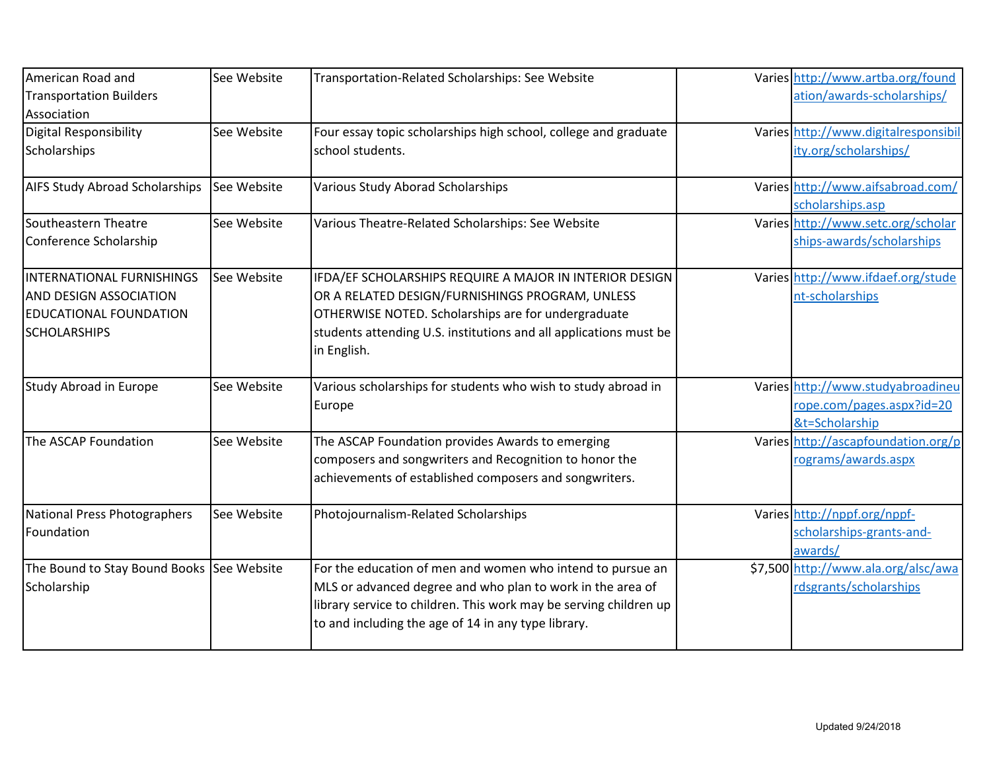| American Road and                         | See Website | Transportation-Related Scholarships: See Website                  | Varies http://www.artba.org/found                      |
|-------------------------------------------|-------------|-------------------------------------------------------------------|--------------------------------------------------------|
| <b>Transportation Builders</b>            |             |                                                                   | ation/awards-scholarships/                             |
| Association                               |             |                                                                   |                                                        |
| <b>Digital Responsibility</b>             | See Website | Four essay topic scholarships high school, college and graduate   | Varies http://www.digitalresponsibil                   |
| Scholarships                              |             | school students.                                                  | ity.org/scholarships/                                  |
| <b>AIFS Study Abroad Scholarships</b>     | See Website | Various Study Aborad Scholarships                                 | Varies http://www.aifsabroad.com/                      |
| Southeastern Theatre                      | See Website | Various Theatre-Related Scholarships: See Website                 | scholarships.asp<br>Varies http://www.setc.org/scholar |
|                                           |             |                                                                   |                                                        |
| Conference Scholarship                    |             |                                                                   | ships-awards/scholarships                              |
| <b>INTERNATIONAL FURNISHINGS</b>          | See Website | IFDA/EF SCHOLARSHIPS REQUIRE A MAJOR IN INTERIOR DESIGN           | Varies http://www.ifdaef.org/stude                     |
| AND DESIGN ASSOCIATION                    |             | OR A RELATED DESIGN/FURNISHINGS PROGRAM, UNLESS                   | nt-scholarships                                        |
| <b>EDUCATIONAL FOUNDATION</b>             |             | OTHERWISE NOTED. Scholarships are for undergraduate               |                                                        |
| <b>SCHOLARSHIPS</b>                       |             | students attending U.S. institutions and all applications must be |                                                        |
|                                           |             | in English.                                                       |                                                        |
|                                           |             |                                                                   |                                                        |
| Study Abroad in Europe                    | See Website | Various scholarships for students who wish to study abroad in     | Varies http://www.studyabroadineu                      |
|                                           |             | Europe                                                            | rope.com/pages.aspx?id=20                              |
|                                           |             |                                                                   | &t=Scholarship                                         |
| The ASCAP Foundation                      | See Website | The ASCAP Foundation provides Awards to emerging                  | Varies http://ascapfoundation.org/p                    |
|                                           |             | composers and songwriters and Recognition to honor the            | rograms/awards.aspx                                    |
|                                           |             | achievements of established composers and songwriters.            |                                                        |
| National Press Photographers              | See Website | Photojournalism-Related Scholarships                              | Varies http://nppf.org/nppf-                           |
| Foundation                                |             |                                                                   | scholarships-grants-and-                               |
|                                           |             |                                                                   | awards/                                                |
| The Bound to Stay Bound Books See Website |             | For the education of men and women who intend to pursue an        | \$7,500 http://www.ala.org/alsc/awa                    |
| Scholarship                               |             | MLS or advanced degree and who plan to work in the area of        | rdsgrants/scholarships                                 |
|                                           |             | library service to children. This work may be serving children up |                                                        |
|                                           |             | to and including the age of 14 in any type library.               |                                                        |
|                                           |             |                                                                   |                                                        |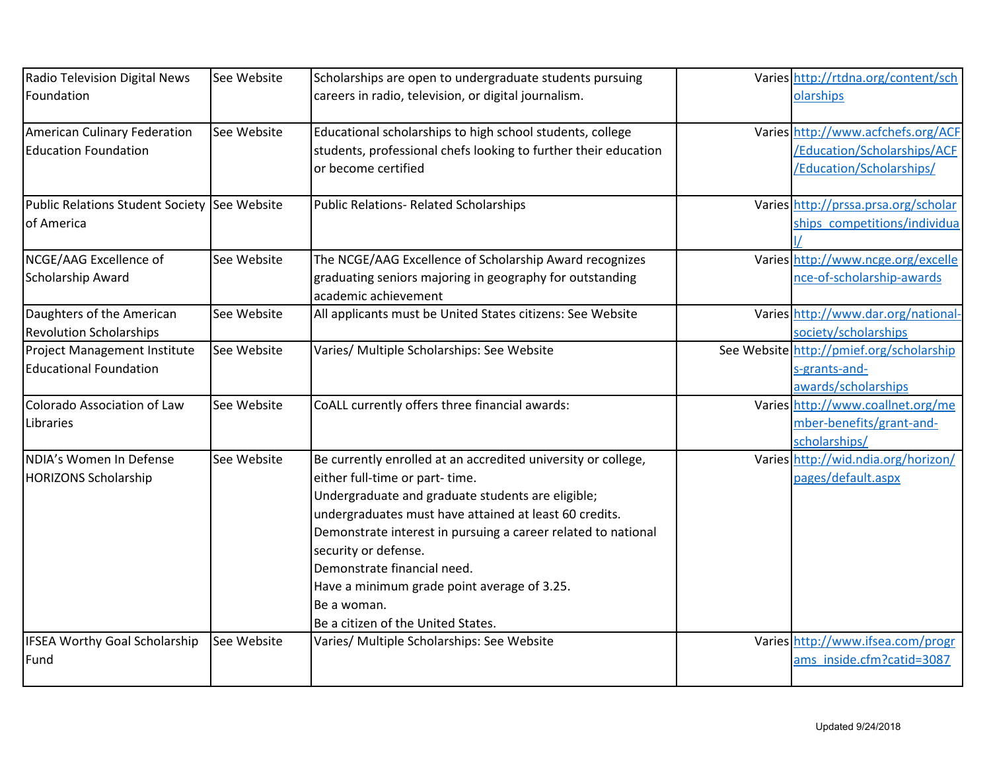| Radio Television Digital News                                 | See Website | Scholarships are open to undergraduate students pursuing                                                                                                                                                                                                                                                                                                                                                                                   | Varies http://rtdna.org/content/sch                                                           |
|---------------------------------------------------------------|-------------|--------------------------------------------------------------------------------------------------------------------------------------------------------------------------------------------------------------------------------------------------------------------------------------------------------------------------------------------------------------------------------------------------------------------------------------------|-----------------------------------------------------------------------------------------------|
| Foundation                                                    |             | careers in radio, television, or digital journalism.                                                                                                                                                                                                                                                                                                                                                                                       | olarships                                                                                     |
| American Culinary Federation<br><b>Education Foundation</b>   | See Website | Educational scholarships to high school students, college<br>students, professional chefs looking to further their education<br>or become certified                                                                                                                                                                                                                                                                                        | Varies http://www.acfchefs.org/ACF<br>/Education/Scholarships/ACF<br>/Education/Scholarships/ |
| Public Relations Student Society See Website<br>of America    |             | Public Relations- Related Scholarships                                                                                                                                                                                                                                                                                                                                                                                                     | Varies http://prssa.prsa.org/scholar<br>ships_competitions/individua                          |
| NCGE/AAG Excellence of<br>Scholarship Award                   | See Website | The NCGE/AAG Excellence of Scholarship Award recognizes<br>graduating seniors majoring in geography for outstanding<br>academic achievement                                                                                                                                                                                                                                                                                                | Varies http://www.ncge.org/excelle<br>nce-of-scholarship-awards                               |
| Daughters of the American<br><b>Revolution Scholarships</b>   | See Website | All applicants must be United States citizens: See Website                                                                                                                                                                                                                                                                                                                                                                                 | Varies http://www.dar.org/national-<br>society/scholarships                                   |
| Project Management Institute<br><b>Educational Foundation</b> | See Website | Varies/ Multiple Scholarships: See Website                                                                                                                                                                                                                                                                                                                                                                                                 | See Website http://pmief.org/scholarship<br>s-grants-and-<br>awards/scholarships              |
| Colorado Association of Law<br>Libraries                      | See Website | CoALL currently offers three financial awards:                                                                                                                                                                                                                                                                                                                                                                                             | Varies http://www.coallnet.org/me<br>mber-benefits/grant-and-<br>scholarships/                |
| NDIA's Women In Defense<br><b>HORIZONS Scholarship</b>        | See Website | Be currently enrolled at an accredited university or college,<br>either full-time or part-time.<br>Undergraduate and graduate students are eligible;<br>undergraduates must have attained at least 60 credits.<br>Demonstrate interest in pursuing a career related to national<br>security or defense.<br>Demonstrate financial need.<br>Have a minimum grade point average of 3.25.<br>Be a woman.<br>Be a citizen of the United States. | Varies http://wid.ndia.org/horizon/<br>pages/default.aspx                                     |
| <b>IFSEA Worthy Goal Scholarship</b><br>Fund                  | See Website | Varies/ Multiple Scholarships: See Website                                                                                                                                                                                                                                                                                                                                                                                                 | Varies http://www.ifsea.com/progr<br>ams inside.cfm?catid=3087                                |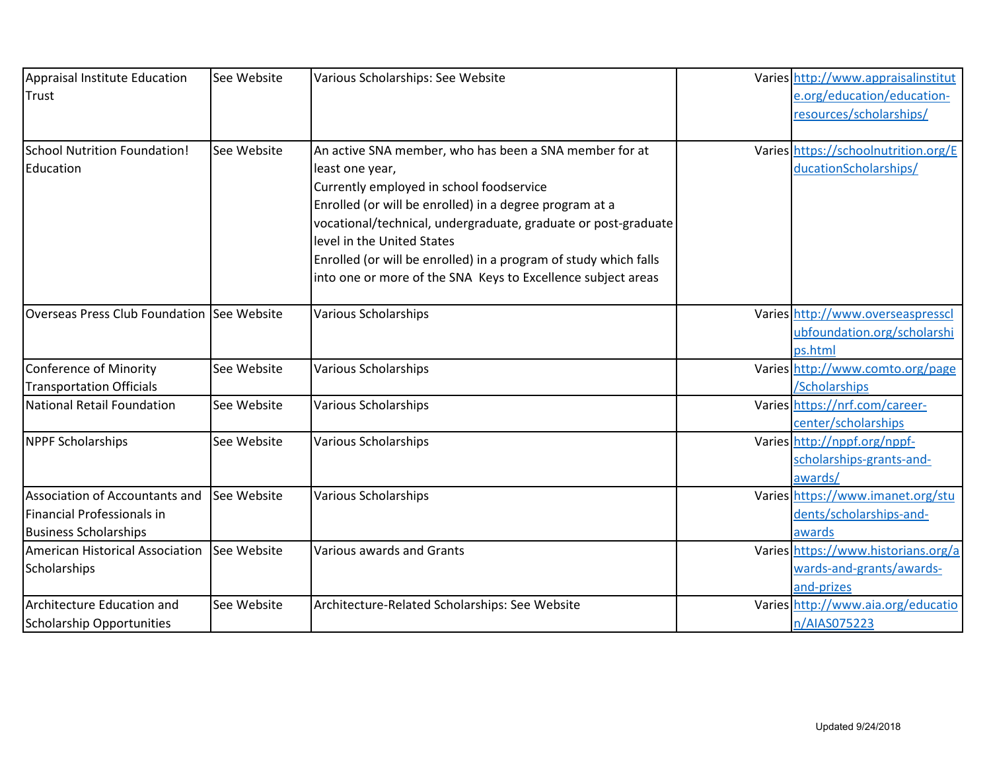| Appraisal Institute Education              | See Website | Various Scholarships: See Website                                | Varies http://www.appraisalinstitut  |
|--------------------------------------------|-------------|------------------------------------------------------------------|--------------------------------------|
| Trust                                      |             |                                                                  | e.org/education/education-           |
|                                            |             |                                                                  | resources/scholarships/              |
|                                            |             |                                                                  |                                      |
| School Nutrition Foundation!               | See Website | An active SNA member, who has been a SNA member for at           | Varies https://schoolnutrition.org/E |
| Education                                  |             | least one year,                                                  | ducationScholarships/                |
|                                            |             | Currently employed in school foodservice                         |                                      |
|                                            |             | Enrolled (or will be enrolled) in a degree program at a          |                                      |
|                                            |             | vocational/technical, undergraduate, graduate or post-graduate   |                                      |
|                                            |             | level in the United States                                       |                                      |
|                                            |             | Enrolled (or will be enrolled) in a program of study which falls |                                      |
|                                            |             | into one or more of the SNA Keys to Excellence subject areas     |                                      |
| Overseas Press Club Foundation See Website |             | <b>Various Scholarships</b>                                      | Varies http://www.overseaspresscl    |
|                                            |             |                                                                  | ubfoundation.org/scholarshi          |
|                                            |             |                                                                  | ps.html                              |
| Conference of Minority                     | See Website | <b>Various Scholarships</b>                                      | Varies http://www.comto.org/page     |
| <b>Transportation Officials</b>            |             |                                                                  | /Scholarships                        |
| National Retail Foundation                 | See Website | <b>Various Scholarships</b>                                      | Varies https://nrf.com/career-       |
|                                            |             |                                                                  | center/scholarships                  |
| <b>NPPF Scholarships</b>                   | See Website | <b>Various Scholarships</b>                                      | Varies http://nppf.org/nppf-         |
|                                            |             |                                                                  | scholarships-grants-and-             |
|                                            |             |                                                                  | awards/                              |
| Association of Accountants and             | See Website | <b>Various Scholarships</b>                                      | Varies https://www.imanet.org/stu    |
| Financial Professionals in                 |             |                                                                  | dents/scholarships-and-              |
| <b>Business Scholarships</b>               |             |                                                                  | awards                               |
| American Historical Association            | See Website | Various awards and Grants                                        | Varies https://www.historians.org/a  |
| Scholarships                               |             |                                                                  | wards-and-grants/awards-             |
|                                            |             |                                                                  | and-prizes                           |
| Architecture Education and                 | See Website | Architecture-Related Scholarships: See Website                   | Varies http://www.aia.org/educatio   |
| Scholarship Opportunities                  |             |                                                                  | n/AIAS075223                         |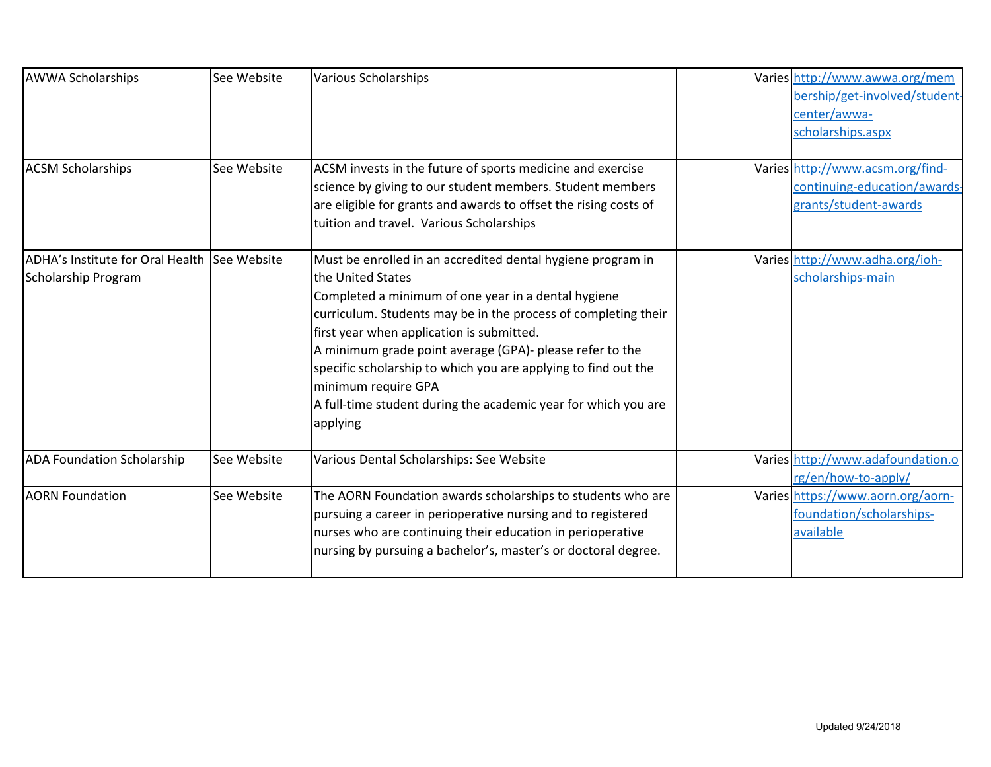| <b>AWWA Scholarships</b><br><b>ACSM Scholarships</b>                | See Website<br>See Website | <b>Various Scholarships</b><br>ACSM invests in the future of sports medicine and exercise<br>science by giving to our student members. Student members                                                                                                                                                                                                                                                                                                                                    | Varies http://www.awwa.org/mem<br>bership/get-involved/student-<br>center/awwa-<br>scholarships.aspx<br>Varies http://www.acsm.org/find-<br>continuing-education/awards- |
|---------------------------------------------------------------------|----------------------------|-------------------------------------------------------------------------------------------------------------------------------------------------------------------------------------------------------------------------------------------------------------------------------------------------------------------------------------------------------------------------------------------------------------------------------------------------------------------------------------------|--------------------------------------------------------------------------------------------------------------------------------------------------------------------------|
|                                                                     |                            | are eligible for grants and awards to offset the rising costs of<br>tuition and travel. Various Scholarships                                                                                                                                                                                                                                                                                                                                                                              | grants/student-awards                                                                                                                                                    |
| ADHA's Institute for Oral Health See Website<br>Scholarship Program |                            | Must be enrolled in an accredited dental hygiene program in<br>the United States<br>Completed a minimum of one year in a dental hygiene<br>curriculum. Students may be in the process of completing their<br>first year when application is submitted.<br>A minimum grade point average (GPA)- please refer to the<br>specific scholarship to which you are applying to find out the<br>minimum require GPA<br>A full-time student during the academic year for which you are<br>applying | Varies http://www.adha.org/ioh-<br>scholarships-main                                                                                                                     |
| <b>ADA Foundation Scholarship</b>                                   | See Website                | Various Dental Scholarships: See Website                                                                                                                                                                                                                                                                                                                                                                                                                                                  | Varies http://www.adafoundation.o<br>rg/en/how-to-apply/                                                                                                                 |
| <b>AORN Foundation</b>                                              | See Website                | The AORN Foundation awards scholarships to students who are<br>pursuing a career in perioperative nursing and to registered<br>nurses who are continuing their education in perioperative<br>nursing by pursuing a bachelor's, master's or doctoral degree.                                                                                                                                                                                                                               | Varies https://www.aorn.org/aorn-<br>foundation/scholarships-<br>available                                                                                               |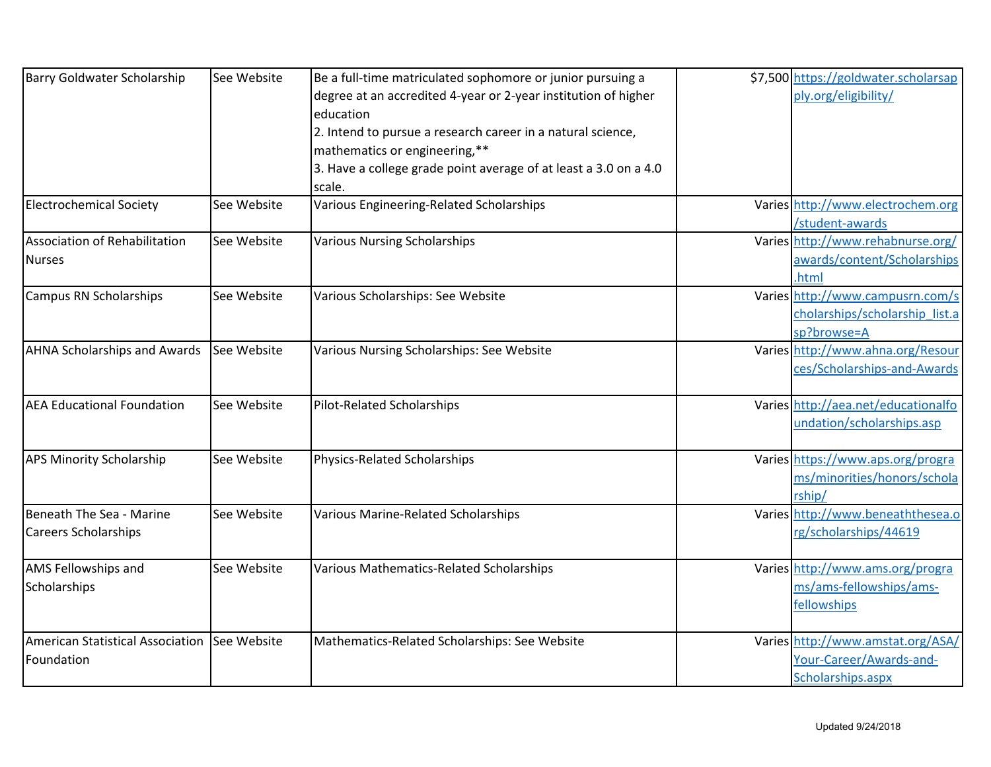| <b>Barry Goldwater Scholarship</b>           | See Website | Be a full-time matriculated sophomore or junior pursuing a       | \$7,500 https://goldwater.scholarsap |
|----------------------------------------------|-------------|------------------------------------------------------------------|--------------------------------------|
|                                              |             | degree at an accredited 4-year or 2-year institution of higher   | ply.org/eligibility/                 |
|                                              |             | education                                                        |                                      |
|                                              |             | 2. Intend to pursue a research career in a natural science,      |                                      |
|                                              |             | mathematics or engineering,**                                    |                                      |
|                                              |             | 3. Have a college grade point average of at least a 3.0 on a 4.0 |                                      |
|                                              |             | scale.                                                           |                                      |
| <b>Electrochemical Society</b>               | See Website | Various Engineering-Related Scholarships                         | Varies http://www.electrochem.org    |
|                                              |             |                                                                  | /student-awards                      |
| Association of Rehabilitation                | See Website | <b>Various Nursing Scholarships</b>                              | Varies http://www.rehabnurse.org/    |
| <b>Nurses</b>                                |             |                                                                  | awards/content/Scholarships          |
|                                              |             |                                                                  | .html                                |
| <b>Campus RN Scholarships</b>                | See Website | Various Scholarships: See Website                                | Varies http://www.campusrn.com/s     |
|                                              |             |                                                                  | cholarships/scholarship list.a       |
|                                              |             |                                                                  | sp?browse=A                          |
| <b>AHNA Scholarships and Awards</b>          | See Website | Various Nursing Scholarships: See Website                        | Varies http://www.ahna.org/Resour    |
|                                              |             |                                                                  | ces/Scholarships-and-Awards          |
| <b>AEA Educational Foundation</b>            | See Website | <b>Pilot-Related Scholarships</b>                                | Varies http://aea.net/educationalfo  |
|                                              |             |                                                                  | undation/scholarships.asp            |
| <b>APS Minority Scholarship</b>              | See Website | Physics-Related Scholarships                                     | Varies https://www.aps.org/progra    |
|                                              |             |                                                                  | ms/minorities/honors/schola          |
|                                              |             |                                                                  | rship/                               |
| Beneath The Sea - Marine                     | See Website | Various Marine-Related Scholarships                              | Varies http://www.beneaththesea.o    |
| <b>Careers Scholarships</b>                  |             |                                                                  | rg/scholarships/44619                |
| AMS Fellowships and                          | See Website | Various Mathematics-Related Scholarships                         | Varies http://www.ams.org/progra     |
| Scholarships                                 |             |                                                                  | ms/ams-fellowships/ams-              |
|                                              |             |                                                                  | fellowships                          |
| American Statistical Association See Website |             | Mathematics-Related Scholarships: See Website                    | Varies http://www.amstat.org/ASA/    |
| Foundation                                   |             |                                                                  | Your-Career/Awards-and-              |
|                                              |             |                                                                  | Scholarships.aspx                    |
|                                              |             |                                                                  |                                      |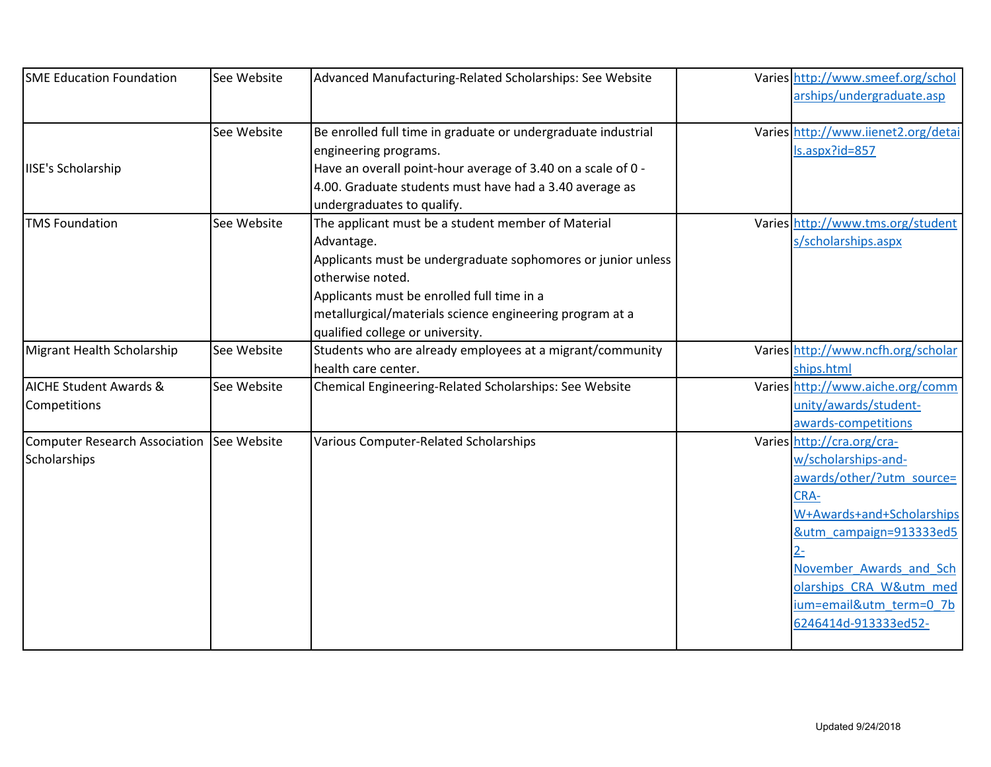| <b>SME Education Foundation</b>                           | See Website | Advanced Manufacturing-Related Scholarships: See Website                                                                                                                                                                                                                                           | Varies http://www.smeef.org/schol<br>arships/undergraduate.asp                                                                                                                                                                                                   |
|-----------------------------------------------------------|-------------|----------------------------------------------------------------------------------------------------------------------------------------------------------------------------------------------------------------------------------------------------------------------------------------------------|------------------------------------------------------------------------------------------------------------------------------------------------------------------------------------------------------------------------------------------------------------------|
|                                                           | See Website | Be enrolled full time in graduate or undergraduate industrial<br>engineering programs.                                                                                                                                                                                                             | Varies http://www.iienet2.org/detai<br>ls.aspx?id=857                                                                                                                                                                                                            |
| <b>IISE's Scholarship</b>                                 |             | Have an overall point-hour average of 3.40 on a scale of 0 -<br>4.00. Graduate students must have had a 3.40 average as<br>undergraduates to qualify.                                                                                                                                              |                                                                                                                                                                                                                                                                  |
| <b>TMS Foundation</b>                                     | See Website | The applicant must be a student member of Material<br>Advantage.<br>Applicants must be undergraduate sophomores or junior unless<br>otherwise noted.<br>Applicants must be enrolled full time in a<br>metallurgical/materials science engineering program at a<br>qualified college or university. | Varies http://www.tms.org/student<br>s/scholarships.aspx                                                                                                                                                                                                         |
| Migrant Health Scholarship                                | See Website | Students who are already employees at a migrant/community<br>health care center.                                                                                                                                                                                                                   | Varies http://www.ncfh.org/scholar<br>ships.html                                                                                                                                                                                                                 |
| <b>AICHE Student Awards &amp;</b><br>Competitions         | See Website | Chemical Engineering-Related Scholarships: See Website                                                                                                                                                                                                                                             | Varies http://www.aiche.org/comm<br>unity/awards/student-<br>awards-competitions                                                                                                                                                                                 |
| Computer Research Association See Website<br>Scholarships |             | Various Computer-Related Scholarships                                                                                                                                                                                                                                                              | Varies http://cra.org/cra-<br>w/scholarships-and-<br>awards/other/?utm_source=<br>CRA-<br>W+Awards+and+Scholarships<br>&utm campaign=913333ed5<br>$2 -$<br>November Awards and Sch<br>olarships CRA W&utm med<br>ium=email&utm_term=0_7b<br>6246414d-913333ed52- |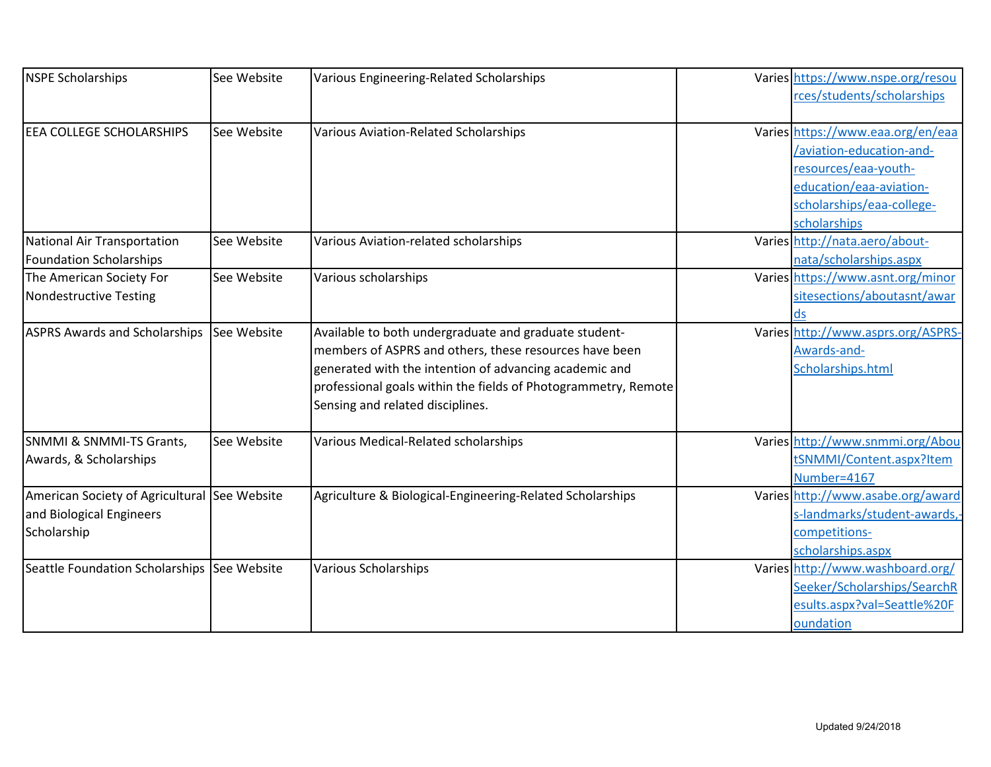| <b>NSPE Scholarships</b>                                                                | See Website | Various Engineering-Related Scholarships                                                                                                                                                                                                                                        | Varies https://www.nspe.org/resou<br>rces/students/scholarships                                                                                               |
|-----------------------------------------------------------------------------------------|-------------|---------------------------------------------------------------------------------------------------------------------------------------------------------------------------------------------------------------------------------------------------------------------------------|---------------------------------------------------------------------------------------------------------------------------------------------------------------|
| EEA COLLEGE SCHOLARSHIPS                                                                | See Website | Various Aviation-Related Scholarships                                                                                                                                                                                                                                           | Varies https://www.eaa.org/en/eaa<br>/aviation-education-and-<br>resources/eaa-youth-<br>education/eaa-aviation-<br>scholarships/eaa-college-<br>scholarships |
| National Air Transportation<br>Foundation Scholarships                                  | See Website | Various Aviation-related scholarships                                                                                                                                                                                                                                           | Varies http://nata.aero/about-<br>nata/scholarships.aspx                                                                                                      |
| The American Society For<br>Nondestructive Testing                                      | See Website | Various scholarships                                                                                                                                                                                                                                                            | Varies https://www.asnt.org/minor<br>sitesections/aboutasnt/awar<br>ds                                                                                        |
| <b>ASPRS Awards and Scholarships</b>                                                    | See Website | Available to both undergraduate and graduate student-<br>members of ASPRS and others, these resources have been<br>generated with the intention of advancing academic and<br>professional goals within the fields of Photogrammetry, Remote<br>Sensing and related disciplines. | Varies http://www.asprs.org/ASPRS-<br>Awards-and-<br>Scholarships.html                                                                                        |
| SNMMI & SNMMI-TS Grants,<br>Awards, & Scholarships                                      | See Website | Various Medical-Related scholarships                                                                                                                                                                                                                                            | Varies http://www.snmmi.org/Abou<br>tSNMMI/Content.aspx?Item<br>Number=4167                                                                                   |
| American Society of Agricultural See Website<br>and Biological Engineers<br>Scholarship |             | Agriculture & Biological-Engineering-Related Scholarships                                                                                                                                                                                                                       | Varies http://www.asabe.org/award<br>s-landmarks/student-awards,<br>competitions-<br>scholarships.aspx                                                        |
| Seattle Foundation Scholarships See Website                                             |             | <b>Various Scholarships</b>                                                                                                                                                                                                                                                     | Varies http://www.washboard.org/<br>Seeker/Scholarships/SearchR<br>esults.aspx?val=Seattle%20F<br>oundation                                                   |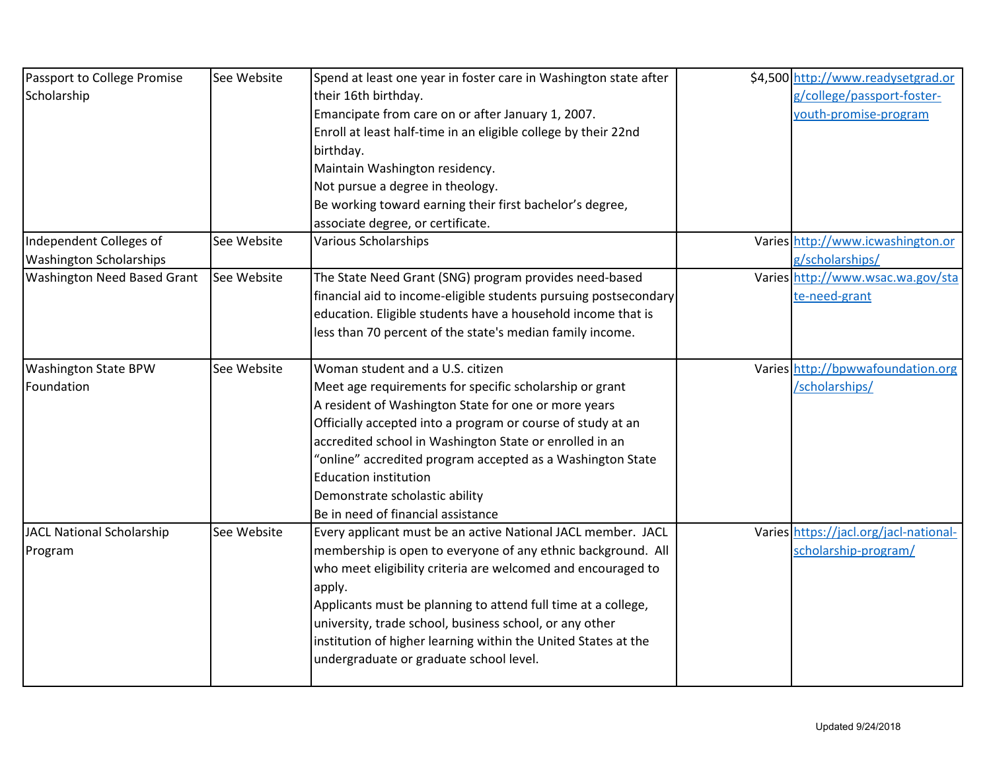| Passport to College Promise        | See Website | Spend at least one year in foster care in Washington state after | \$4,500 http://www.readysetgrad.or     |
|------------------------------------|-------------|------------------------------------------------------------------|----------------------------------------|
| Scholarship                        |             | their 16th birthday.                                             | g/college/passport-foster-             |
|                                    |             | Emancipate from care on or after January 1, 2007.                | youth-promise-program                  |
|                                    |             | Enroll at least half-time in an eligible college by their 22nd   |                                        |
|                                    |             | birthday.                                                        |                                        |
|                                    |             | Maintain Washington residency.                                   |                                        |
|                                    |             | Not pursue a degree in theology.                                 |                                        |
|                                    |             | Be working toward earning their first bachelor's degree,         |                                        |
|                                    |             | associate degree, or certificate.                                |                                        |
| Independent Colleges of            | See Website | <b>Various Scholarships</b>                                      | Varies http://www.icwashington.or      |
| <b>Washington Scholarships</b>     |             |                                                                  | g/scholarships/                        |
| <b>Washington Need Based Grant</b> | See Website | The State Need Grant (SNG) program provides need-based           | Varies http://www.wsac.wa.gov/sta      |
|                                    |             | financial aid to income-eligible students pursuing postsecondary | te-need-grant                          |
|                                    |             | education. Eligible students have a household income that is     |                                        |
|                                    |             | less than 70 percent of the state's median family income.        |                                        |
| <b>Washington State BPW</b>        | See Website | Woman student and a U.S. citizen                                 | Varies http://bpwwafoundation.org      |
| Foundation                         |             | Meet age requirements for specific scholarship or grant          | /scholarships/                         |
|                                    |             | A resident of Washington State for one or more years             |                                        |
|                                    |             | Officially accepted into a program or course of study at an      |                                        |
|                                    |             | accredited school in Washington State or enrolled in an          |                                        |
|                                    |             | "online" accredited program accepted as a Washington State       |                                        |
|                                    |             | <b>Education institution</b>                                     |                                        |
|                                    |             | Demonstrate scholastic ability                                   |                                        |
|                                    |             | Be in need of financial assistance                               |                                        |
| JACL National Scholarship          | See Website | Every applicant must be an active National JACL member. JACL     | Varies https://jacl.org/jacl-national- |
| Program                            |             | membership is open to everyone of any ethnic background. All     | scholarship-program/                   |
|                                    |             | who meet eligibility criteria are welcomed and encouraged to     |                                        |
|                                    |             | apply.                                                           |                                        |
|                                    |             | Applicants must be planning to attend full time at a college,    |                                        |
|                                    |             | university, trade school, business school, or any other          |                                        |
|                                    |             | institution of higher learning within the United States at the   |                                        |
|                                    |             | undergraduate or graduate school level.                          |                                        |
|                                    |             |                                                                  |                                        |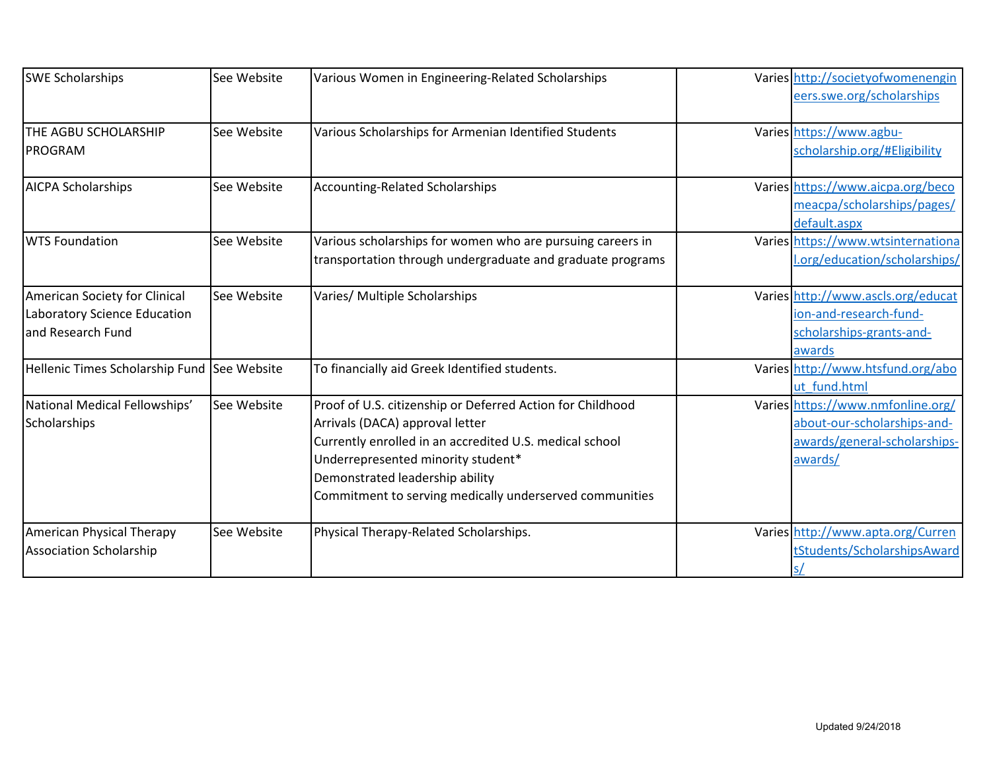| <b>SWE Scholarships</b>                                                            | See Website | Various Women in Engineering-Related Scholarships                                                                                                                                                                                                                                            | Varies http://societyofwomenengin<br>eers.swe.org/scholarships                                              |
|------------------------------------------------------------------------------------|-------------|----------------------------------------------------------------------------------------------------------------------------------------------------------------------------------------------------------------------------------------------------------------------------------------------|-------------------------------------------------------------------------------------------------------------|
| <b>THE AGBU SCHOLARSHIP</b><br><b>PROGRAM</b>                                      | See Website | Various Scholarships for Armenian Identified Students                                                                                                                                                                                                                                        | Varies https://www.agbu-<br>scholarship.org/#Eligibility                                                    |
| <b>AICPA Scholarships</b>                                                          | See Website | <b>Accounting-Related Scholarships</b>                                                                                                                                                                                                                                                       | Varies https://www.aicpa.org/beco<br>meacpa/scholarships/pages/<br>default.aspx                             |
| <b>WTS Foundation</b>                                                              | See Website | Various scholarships for women who are pursuing careers in<br>transportation through undergraduate and graduate programs                                                                                                                                                                     | Varies https://www.wtsinternationa<br>.org/education/scholarships/                                          |
| American Society for Clinical<br>Laboratory Science Education<br>and Research Fund | See Website | Varies/ Multiple Scholarships                                                                                                                                                                                                                                                                | Varies http://www.ascls.org/educat<br>ion-and-research-fund-<br>scholarships-grants-and-<br>awards          |
| Hellenic Times Scholarship Fund See Website                                        |             | To financially aid Greek Identified students.                                                                                                                                                                                                                                                | Varies http://www.htsfund.org/abo<br>ut fund.html                                                           |
| National Medical Fellowships'<br>Scholarships                                      | See Website | Proof of U.S. citizenship or Deferred Action for Childhood<br>Arrivals (DACA) approval letter<br>Currently enrolled in an accredited U.S. medical school<br>Underrepresented minority student*<br>Demonstrated leadership ability<br>Commitment to serving medically underserved communities | Varies https://www.nmfonline.org/<br>about-our-scholarships-and-<br>awards/general-scholarships-<br>awards/ |
| American Physical Therapy<br><b>Association Scholarship</b>                        | See Website | Physical Therapy-Related Scholarships.                                                                                                                                                                                                                                                       | Varies http://www.apta.org/Curren<br>tStudents/ScholarshipsAward                                            |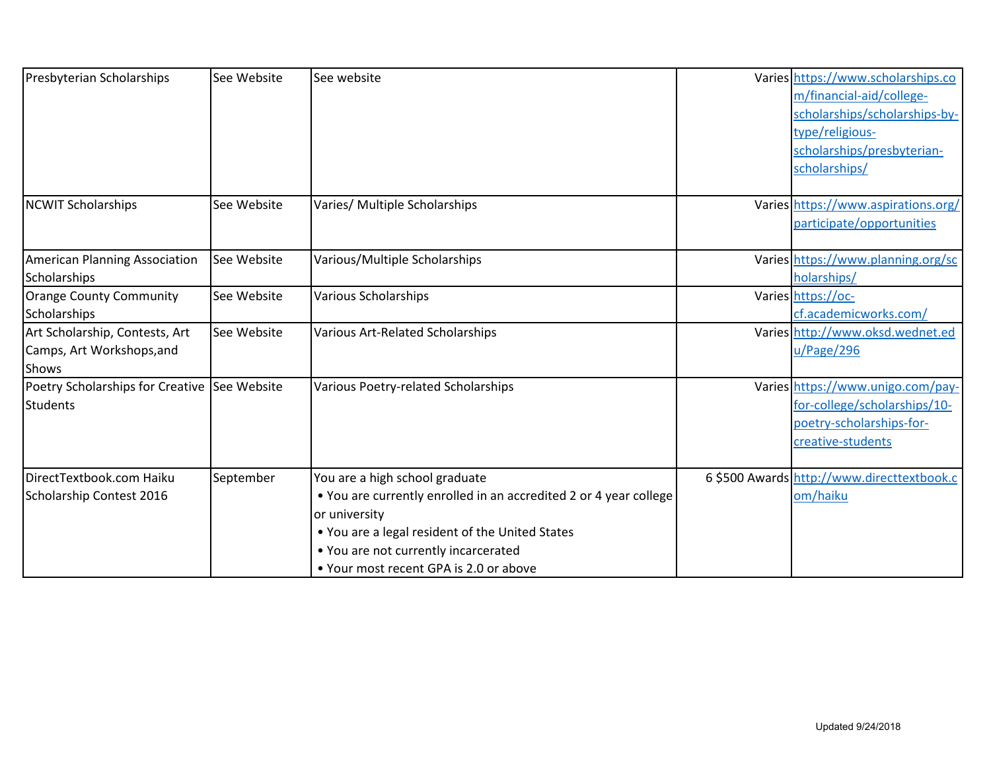| Presbyterian Scholarships                                                   | See Website | See website                                                                                                                                                                                                                                               | Varies https://www.scholarships.co<br>m/financial-aid/college-<br>scholarships/scholarships-by-<br>type/religious-<br>scholarships/presbyterian-<br>scholarships/ |
|-----------------------------------------------------------------------------|-------------|-----------------------------------------------------------------------------------------------------------------------------------------------------------------------------------------------------------------------------------------------------------|-------------------------------------------------------------------------------------------------------------------------------------------------------------------|
| <b>NCWIT Scholarships</b>                                                   | See Website | Varies/ Multiple Scholarships                                                                                                                                                                                                                             | Varies https://www.aspirations.org/<br>participate/opportunities                                                                                                  |
| American Planning Association<br>Scholarships                               | See Website | Various/Multiple Scholarships                                                                                                                                                                                                                             | Varies https://www.planning.org/sc<br>holarships/                                                                                                                 |
| Orange County Community<br>Scholarships                                     | See Website | <b>Various Scholarships</b>                                                                                                                                                                                                                               | Varies https://oc-<br>cf.academicworks.com/                                                                                                                       |
| Art Scholarship, Contests, Art<br>Camps, Art Workshops, and<br><b>Shows</b> | See Website | Various Art-Related Scholarships                                                                                                                                                                                                                          | Varies http://www.oksd.wednet.ed<br>u/Page/296                                                                                                                    |
| Poetry Scholarships for Creative See Website<br><b>Students</b>             |             | Various Poetry-related Scholarships                                                                                                                                                                                                                       | Varies https://www.unigo.com/pay-<br>for-college/scholarships/10-<br>poetry-scholarships-for-<br>creative-students                                                |
| DirectTextbook.com Haiku<br>Scholarship Contest 2016                        | September   | You are a high school graduate<br>• You are currently enrolled in an accredited 2 or 4 year college<br>or university<br>. You are a legal resident of the United States<br>• You are not currently incarcerated<br>• Your most recent GPA is 2.0 or above | 6 \$500 Awards http://www.directtextbook.c<br>om/haiku                                                                                                            |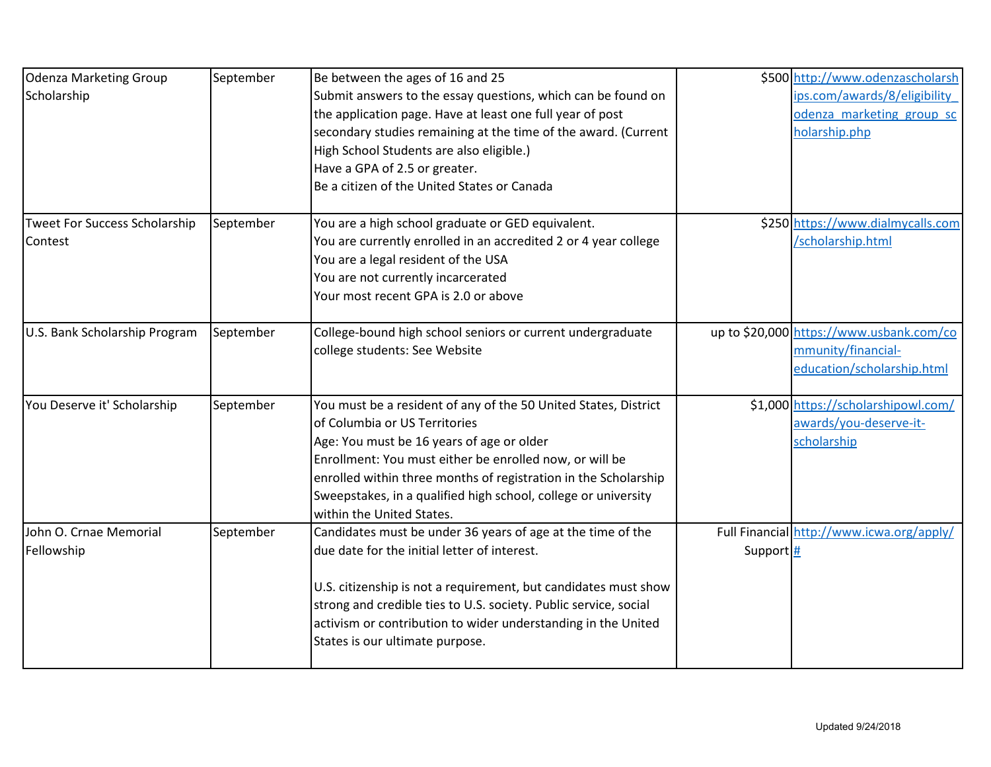| <b>Odenza Marketing Group</b> | September | Be between the ages of 16 and 25                                 |         | \$500 http://www.odenzascholarsh          |
|-------------------------------|-----------|------------------------------------------------------------------|---------|-------------------------------------------|
| Scholarship                   |           | Submit answers to the essay questions, which can be found on     |         | ips.com/awards/8/eligibility              |
|                               |           | the application page. Have at least one full year of post        |         | odenza marketing group sc                 |
|                               |           | secondary studies remaining at the time of the award. (Current   |         | holarship.php                             |
|                               |           | High School Students are also eligible.)                         |         |                                           |
|                               |           | Have a GPA of 2.5 or greater.                                    |         |                                           |
|                               |           | Be a citizen of the United States or Canada                      |         |                                           |
| Tweet For Success Scholarship | September | You are a high school graduate or GED equivalent.                |         | \$250 https://www.dialmycalls.com         |
| Contest                       |           | You are currently enrolled in an accredited 2 or 4 year college  |         | /scholarship.html                         |
|                               |           | You are a legal resident of the USA                              |         |                                           |
|                               |           | You are not currently incarcerated                               |         |                                           |
|                               |           | Your most recent GPA is 2.0 or above                             |         |                                           |
| U.S. Bank Scholarship Program | September | College-bound high school seniors or current undergraduate       |         | up to \$20,000 https://www.usbank.com/co  |
|                               |           | college students: See Website                                    |         | mmunity/financial-                        |
|                               |           |                                                                  |         | education/scholarship.html                |
| You Deserve it' Scholarship   | September | You must be a resident of any of the 50 United States, District  |         | \$1,000 https://scholarshipowl.com/       |
|                               |           | of Columbia or US Territories                                    |         | awards/you-deserve-it-                    |
|                               |           | Age: You must be 16 years of age or older                        |         | scholarship                               |
|                               |           | Enrollment: You must either be enrolled now, or will be          |         |                                           |
|                               |           | enrolled within three months of registration in the Scholarship  |         |                                           |
|                               |           | Sweepstakes, in a qualified high school, college or university   |         |                                           |
|                               |           | within the United States.                                        |         |                                           |
| John O. Crnae Memorial        | September | Candidates must be under 36 years of age at the time of the      |         | Full Financial http://www.icwa.org/apply/ |
| Fellowship                    |           | due date for the initial letter of interest.                     | Support |                                           |
|                               |           | U.S. citizenship is not a requirement, but candidates must show  |         |                                           |
|                               |           | strong and credible ties to U.S. society. Public service, social |         |                                           |
|                               |           | activism or contribution to wider understanding in the United    |         |                                           |
|                               |           | States is our ultimate purpose.                                  |         |                                           |
|                               |           |                                                                  |         |                                           |